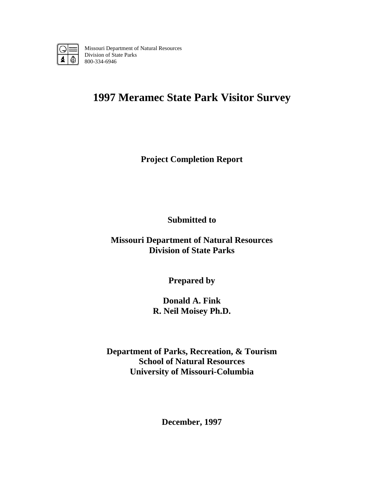

Missouri Department of Natural Resources Division of State Parks 800-334-6946

# **1997 Meramec State Park Visitor Survey**

**Project Completion Report** 

**Submitted to** 

**Missouri Department of Natural Resources Division of State Parks** 

**Prepared by** 

**Donald A. Fink R. Neil Moisey Ph.D.** 

**Department of Parks, Recreation, & Tourism School of Natural Resources University of Missouri-Columbia** 

**December, 1997**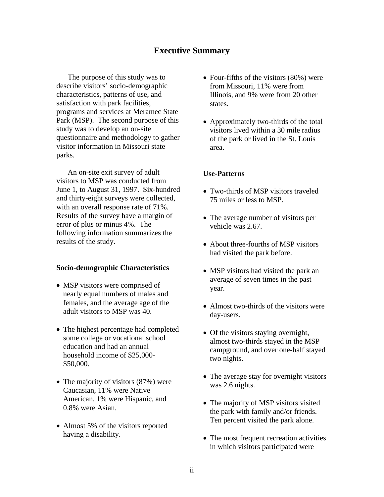# **Executive Summary**

The purpose of this study was to describe visitors' socio-demographic characteristics, patterns of use, and satisfaction with park facilities, programs and services at Meramec State Park (MSP). The second purpose of this study was to develop an on-site questionnaire and methodology to gather visitor information in Missouri state parks.

An on-site exit survey of adult visitors to MSP was conducted from June 1, to August 31, 1997. Six-hundred and thirty-eight surveys were collected, with an overall response rate of 71%. Results of the survey have a margin of error of plus or minus 4%. The following information summarizes the results of the study.

## **Socio-demographic Characteristics**

- MSP visitors were comprised of nearly equal numbers of males and females, and the average age of the adult visitors to MSP was 40.
- The highest percentage had completed some college or vocational school education and had an annual household income of \$25,000- \$50,000.
- The majority of visitors (87%) were Caucasian, 11% were Native American, 1% were Hispanic, and 0.8% were Asian.
- Almost 5% of the visitors reported having a disability.
- Four-fifths of the visitors (80%) were from Missouri, 11% were from Illinois, and 9% were from 20 other states.
- Approximately two-thirds of the total visitors lived within a 30 mile radius of the park or lived in the St. Louis area.

## **Use-Patterns**

- Two-thirds of MSP visitors traveled 75 miles or less to MSP.
- The average number of visitors per vehicle was 2.67.
- About three-fourths of MSP visitors had visited the park before.
- MSP visitors had visited the park an average of seven times in the past year.
- Almost two-thirds of the visitors were day-users.
- Of the visitors staying overnight, almost two-thirds stayed in the MSP campground, and over one-half stayed two nights.
- The average stay for overnight visitors was 2.6 nights.
- The majority of MSP visitors visited the park with family and/or friends. Ten percent visited the park alone.
- The most frequent recreation activities in which visitors participated were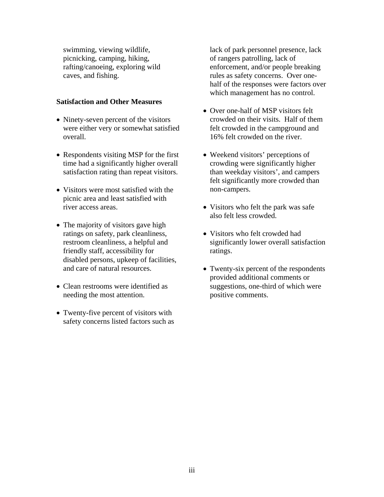swimming, viewing wildlife, picnicking, camping, hiking, rafting/canoeing, exploring wild caves, and fishing.

## **Satisfaction and Other Measures**

- Ninety-seven percent of the visitors were either very or somewhat satisfied overall.
- Respondents visiting MSP for the first time had a significantly higher overall satisfaction rating than repeat visitors.
- Visitors were most satisfied with the picnic area and least satisfied with river access areas.
- The majority of visitors gave high ratings on safety, park cleanliness, restroom cleanliness, a helpful and friendly staff, accessibility for disabled persons, upkeep of facilities, and care of natural resources.
- Clean restrooms were identified as needing the most attention.
- Twenty-five percent of visitors with safety concerns listed factors such as

lack of park personnel presence, lack of rangers patrolling, lack of enforcement, and/or people breaking rules as safety concerns. Over onehalf of the responses were factors over which management has no control.

- Over one-half of MSP visitors felt crowded on their visits. Half of them felt crowded in the campground and 16% felt crowded on the river.
- Weekend visitors' perceptions of crowding were significantly higher than weekday visitors', and campers felt significantly more crowded than non-campers.
- Visitors who felt the park was safe also felt less crowded.
- Visitors who felt crowded had significantly lower overall satisfaction ratings.
- Twenty-six percent of the respondents provided additional comments or suggestions, one-third of which were positive comments.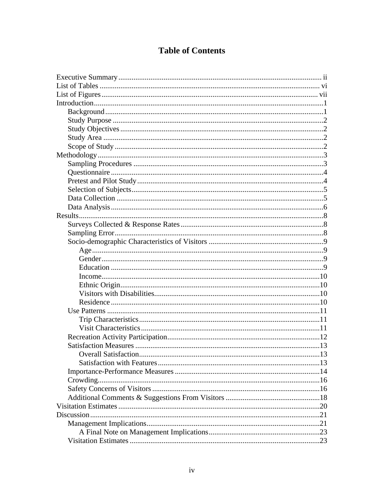# **Table of Contents**

| <b>Overall Satisfaction.</b> |  |
|------------------------------|--|
|                              |  |
|                              |  |
|                              |  |
|                              |  |
|                              |  |
|                              |  |
|                              |  |
|                              |  |
|                              |  |
|                              |  |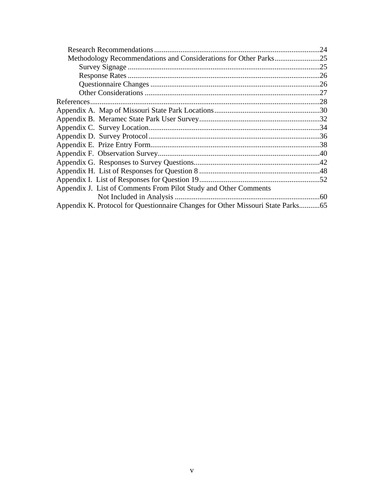| Appendix J. List of Comments From Pilot Study and Other Comments |  |
|------------------------------------------------------------------|--|
|                                                                  |  |
|                                                                  |  |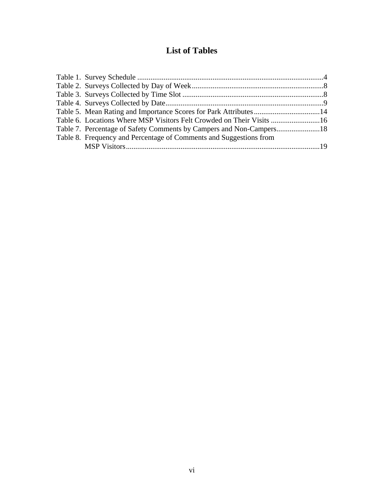# **List of Tables**

| Table 6. Locations Where MSP Visitors Felt Crowded on Their Visits 16 |  |
|-----------------------------------------------------------------------|--|
|                                                                       |  |
| Table 8. Frequency and Percentage of Comments and Suggestions from    |  |
|                                                                       |  |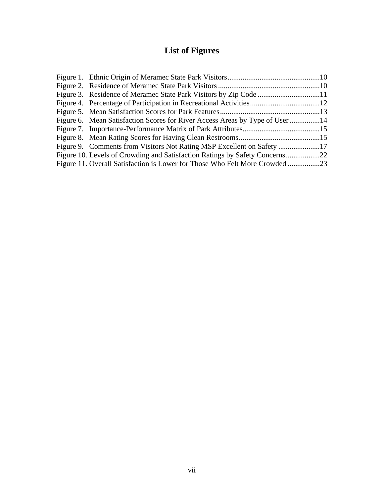# **List of Figures**

| Figure 6. Mean Satisfaction Scores for River Access Areas by Type of User 14 |  |
|------------------------------------------------------------------------------|--|
|                                                                              |  |
|                                                                              |  |
|                                                                              |  |
| Figure 10. Levels of Crowding and Satisfaction Ratings by Safety Concerns22  |  |
|                                                                              |  |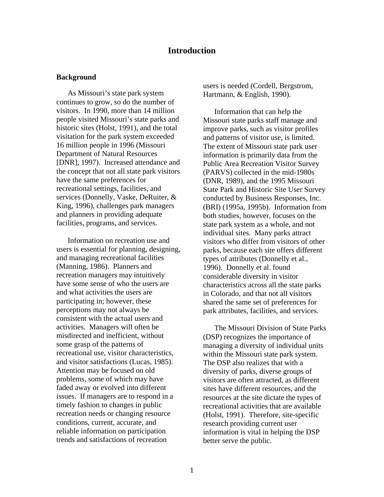# **Introduction**

## **Background**

 As Missouri's state park system continues to grow, so do the number of visitors. In 1990, more than 14 million people visited Missouri's state parks and historic sites (Holst, 1991), and the total visitation for the park system exceeded 16 million people in 1996 (Missouri Department of Natural Resources [DNR], 1997). Increased attendance and the concept that not all state park visitors have the same preferences for recreational settings, facilities, and services (Donnelly, Vaske, DeRuiter, & King, 1996), challenges park managers and planners in providing adequate facilities, programs, and services.

 Information on recreation use and users is essential for planning, designing, and managing recreational facilities (Manning, 1986). Planners and recreation managers may intuitively have some sense of who the users are and what activities the users are participating in; however, these perceptions may not always be consistent with the actual users and activities. Managers will often be misdirected and inefficient, without some grasp of the patterns of recreational use, visitor characteristics, and visitor satisfactions (Lucas, 1985). Attention may be focused on old problems, some of which may have faded away or evolved into different issues. If managers are to respond in a timely fashion to changes in public recreation needs or changing resource conditions, current, accurate, and reliable information on participation trends and satisfactions of recreation

users is needed (Cordell, Bergstrom, Hartmann, & English, 1990).

 Information that can help the Missouri state parks staff manage and improve parks, such as visitor profiles and patterns of visitor use, is limited. The extent of Missouri state park user information is primarily data from the Public Area Recreation Visitor Survey (PARVS) collected in the mid-1980s (DNR, 1989), and the 1995 Missouri State Park and Historic Site User Survey conducted by Business Responses, Inc. (BRI) (1995a, 1995b). Information from both studies, however, focuses on the state park system as a whole, and not individual sites. Many parks attract visitors who differ from visitors of other parks, because each site offers different types of attributes (Donnelly et al., 1996). Donnelly et al. found considerable diversity in visitor characteristics across all the state parks in Colorado, and that not all visitors shared the same set of preferences for park attributes, facilities, and services.

 The Missouri Division of State Parks (DSP) recognizes the importance of managing a diversity of individual units within the Missouri state park system. The DSP also realizes that with a diversity of parks, diverse groups of visitors are often attracted, as different sites have different resources, and the resources at the site dictate the types of recreational activities that are available (Holst, 1991). Therefore, site-specific research providing current user information is vital in helping the DSP better serve the public.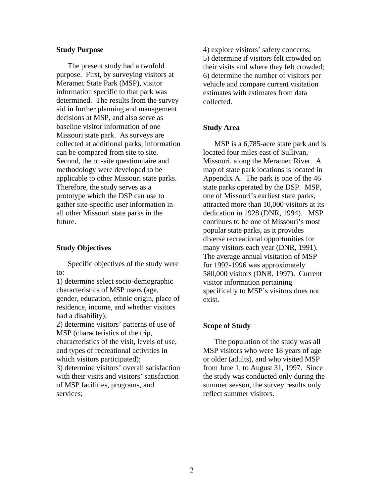#### **Study Purpose**

 The present study had a twofold purpose. First, by surveying visitors at Meramec State Park (MSP), visitor information specific to that park was determined. The results from the survey aid in further planning and management decisions at MSP, and also serve as baseline visitor information of one Missouri state park. As surveys are collected at additional parks, information can be compared from site to site. Second, the on-site questionnaire and methodology were developed to be applicable to other Missouri state parks. Therefore, the study serves as a prototype which the DSP can use to gather site-specific user information in all other Missouri state parks in the future.

## **Study Objectives**

 Specific objectives of the study were to:

1) determine select socio-demographic characteristics of MSP users (age, gender, education, ethnic origin, place of residence, income, and whether visitors had a disability);

2) determine visitors' patterns of use of MSP (characteristics of the trip, characteristics of the visit, levels of use, and types of recreational activities in which visitors participated);

3) determine visitors' overall satisfaction with their visits and visitors' satisfaction of MSP facilities, programs, and services;

4) explore visitors' safety concerns; 5) determine if visitors felt crowded on their visits and where they felt crowded; 6) determine the number of visitors per vehicle and compare current visitation estimates with estimates from data collected.

## **Study Area**

 MSP is a 6,785-acre state park and is located four miles east of Sullivan, Missouri, along the Meramec River. A map of state park locations is located in Appendix A. The park is one of the 46 state parks operated by the DSP. MSP, one of Missouri's earliest state parks, attracted more than 10,000 visitors at its dedication in 1928 (DNR, 1994). MSP continues to be one of Missouri's most popular state parks, as it provides diverse recreational opportunities for many visitors each year (DNR, 1991). The average annual visitation of MSP for 1992-1996 was approximately 580,000 visitors (DNR, 1997). Current visitor information pertaining specifically to MSP's visitors does not exist.

## **Scope of Study**

 The population of the study was all MSP visitors who were 18 years of age or older (adults), and who visited MSP from June 1, to August 31, 1997. Since the study was conducted only during the summer season, the survey results only reflect summer visitors.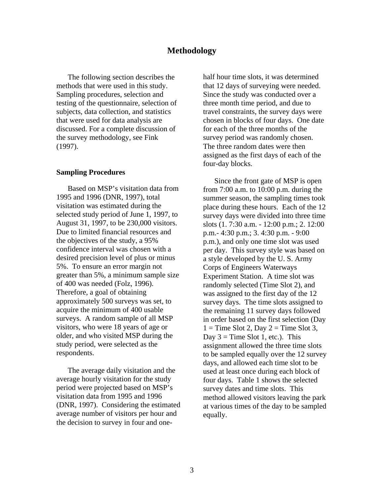# **Methodology**

 The following section describes the methods that were used in this study. Sampling procedures, selection and testing of the questionnaire, selection of subjects, data collection, and statistics that were used for data analysis are discussed. For a complete discussion of the survey methodology, see Fink (1997).

### **Sampling Procedures**

 Based on MSP's visitation data from 1995 and 1996 (DNR, 1997), total visitation was estimated during the selected study period of June 1, 1997, to August 31, 1997, to be 230,000 visitors. Due to limited financial resources and the objectives of the study, a 95% confidence interval was chosen with a desired precision level of plus or minus 5%. To ensure an error margin not greater than 5%, a minimum sample size of 400 was needed (Folz, 1996). Therefore, a goal of obtaining approximately 500 surveys was set, to acquire the minimum of 400 usable surveys. A random sample of all MSP visitors, who were 18 years of age or older, and who visited MSP during the study period, were selected as the respondents.

 The average daily visitation and the average hourly visitation for the study period were projected based on MSP's visitation data from 1995 and 1996 (DNR, 1997). Considering the estimated average number of visitors per hour and the decision to survey in four and onehalf hour time slots, it was determined that 12 days of surveying were needed. Since the study was conducted over a three month time period, and due to travel constraints, the survey days were chosen in blocks of four days. One date for each of the three months of the survey period was randomly chosen. The three random dates were then assigned as the first days of each of the four-day blocks.

 Since the front gate of MSP is open from 7:00 a.m. to 10:00 p.m. during the summer season, the sampling times took place during these hours. Each of the 12 survey days were divided into three time slots (1. 7:30 a.m. - 12:00 p.m.; 2. 12:00 p.m.- 4:30 p.m.; 3. 4:30 p.m. - 9:00 p.m.), and only one time slot was used per day. This survey style was based on a style developed by the U. S. Army Corps of Engineers Waterways Experiment Station. A time slot was randomly selected (Time Slot 2), and was assigned to the first day of the 12 survey days. The time slots assigned to the remaining 11 survey days followed in order based on the first selection (Day  $1 =$ Time Slot 2, Day  $2 =$ Time Slot 3, Day  $3 =$  Time Slot 1, etc.). This assignment allowed the three time slots to be sampled equally over the 12 survey days, and allowed each time slot to be used at least once during each block of four days. Table 1 shows the selected survey dates and time slots. This method allowed visitors leaving the park at various times of the day to be sampled equally.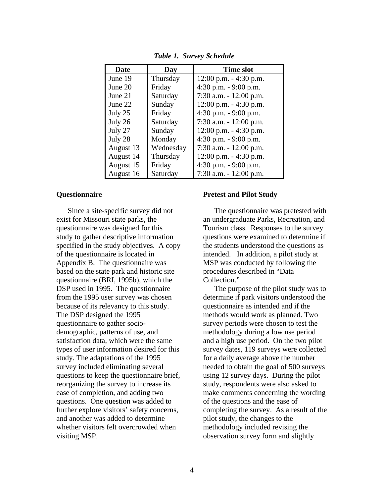| Date      | Day       | <b>Time slot</b>          |
|-----------|-----------|---------------------------|
| June 19   | Thursday  | $12:00$ p.m. $-4:30$ p.m. |
| June 20   | Friday    | 4:30 p.m. $-9:00$ p.m.    |
| June 21   | Saturday  | $7:30$ a.m. $-12:00$ p.m. |
| June 22   | Sunday    | $12:00$ p.m. $-4:30$ p.m. |
| July 25   | Friday    | 4:30 p.m. $-9:00$ p.m.    |
| July 26   | Saturday  | $7:30$ a.m. $-12:00$ p.m. |
| July 27   | Sunday    | $12:00$ p.m. $-4:30$ p.m. |
| July 28   | Monday    | 4:30 p.m. $-9:00$ p.m.    |
| August 13 | Wednesday | 7:30 a.m. - 12:00 p.m.    |
| August 14 | Thursday  | $12:00$ p.m. $-4:30$ p.m. |
| August 15 | Friday    | 4:30 p.m. $-9:00$ p.m.    |
| August 16 | Saturday  | $7:30$ a.m. $-12:00$ p.m. |

*Table 1. Survey Schedule* 

#### **Questionnaire**

Since a site-specific survey did not exist for Missouri state parks, the questionnaire was designed for this study to gather descriptive information specified in the study objectives. A copy of the questionnaire is located in Appendix B. The questionnaire was based on the state park and historic site questionnaire (BRI, 1995b), which the DSP used in 1995. The questionnaire from the 1995 user survey was chosen because of its relevancy to this study. The DSP designed the 1995 questionnaire to gather sociodemographic, patterns of use, and satisfaction data, which were the same types of user information desired for this study. The adaptations of the 1995 survey included eliminating several questions to keep the questionnaire brief, reorganizing the survey to increase its ease of completion, and adding two questions. One question was added to further explore visitors' safety concerns, and another was added to determine whether visitors felt overcrowded when visiting MSP.

#### **Pretest and Pilot Study**

 The questionnaire was pretested with an undergraduate Parks, Recreation, and Tourism class. Responses to the survey questions were examined to determine if the students understood the questions as intended. In addition, a pilot study at MSP was conducted by following the procedures described in "Data Collection."

The purpose of the pilot study was to determine if park visitors understood the questionnaire as intended and if the methods would work as planned. Two survey periods were chosen to test the methodology during a low use period and a high use period. On the two pilot survey dates, 119 surveys were collected for a daily average above the number needed to obtain the goal of 500 surveys using 12 survey days. During the pilot study, respondents were also asked to make comments concerning the wording of the questions and the ease of completing the survey. As a result of the pilot study, the changes to the methodology included revising the observation survey form and slightly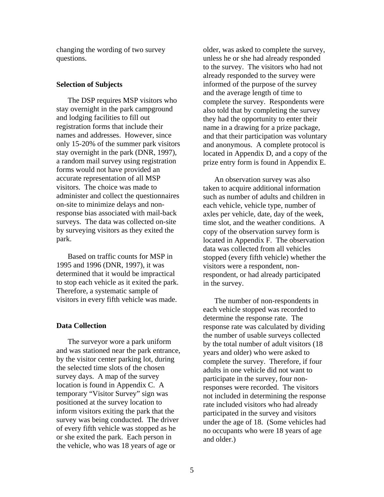changing the wording of two survey questions.

## **Selection of Subjects**

 The DSP requires MSP visitors who stay overnight in the park campground and lodging facilities to fill out registration forms that include their names and addresses. However, since only 15-20% of the summer park visitors stay overnight in the park (DNR, 1997), a random mail survey using registration forms would not have provided an accurate representation of all MSP visitors. The choice was made to administer and collect the questionnaires on-site to minimize delays and nonresponse bias associated with mail-back surveys. The data was collected on-site by surveying visitors as they exited the park.

 Based on traffic counts for MSP in 1995 and 1996 (DNR, 1997), it was determined that it would be impractical to stop each vehicle as it exited the park. Therefore, a systematic sample of visitors in every fifth vehicle was made.

## **Data Collection**

 The surveyor wore a park uniform and was stationed near the park entrance, by the visitor center parking lot, during the selected time slots of the chosen survey days. A map of the survey location is found in Appendix C. A temporary "Visitor Survey" sign was positioned at the survey location to inform visitors exiting the park that the survey was being conducted. The driver of every fifth vehicle was stopped as he or she exited the park. Each person in the vehicle, who was 18 years of age or

older, was asked to complete the survey, unless he or she had already responded to the survey. The visitors who had not already responded to the survey were informed of the purpose of the survey and the average length of time to complete the survey. Respondents were also told that by completing the survey they had the opportunity to enter their name in a drawing for a prize package, and that their participation was voluntary and anonymous. A complete protocol is located in Appendix D, and a copy of the prize entry form is found in Appendix E.

 An observation survey was also taken to acquire additional information such as number of adults and children in each vehicle, vehicle type, number of axles per vehicle, date, day of the week, time slot, and the weather conditions. A copy of the observation survey form is located in Appendix F. The observation data was collected from all vehicles stopped (every fifth vehicle) whether the visitors were a respondent, nonrespondent, or had already participated in the survey.

 The number of non-respondents in each vehicle stopped was recorded to determine the response rate. The response rate was calculated by dividing the number of usable surveys collected by the total number of adult visitors (18 years and older) who were asked to complete the survey. Therefore, if four adults in one vehicle did not want to participate in the survey, four nonresponses were recorded. The visitors not included in determining the response rate included visitors who had already participated in the survey and visitors under the age of 18. (Some vehicles had no occupants who were 18 years of age and older.)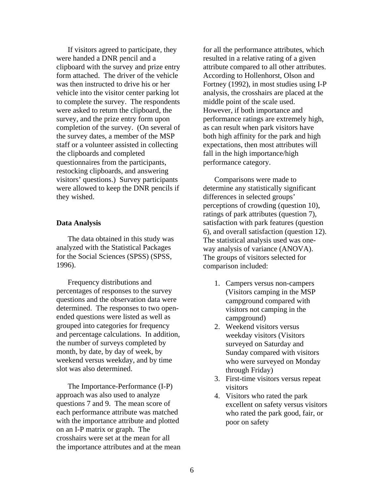If visitors agreed to participate, they were handed a DNR pencil and a clipboard with the survey and prize entry form attached. The driver of the vehicle was then instructed to drive his or her vehicle into the visitor center parking lot to complete the survey. The respondents were asked to return the clipboard, the survey, and the prize entry form upon completion of the survey. (On several of the survey dates, a member of the MSP staff or a volunteer assisted in collecting the clipboards and completed questionnaires from the participants, restocking clipboards, and answering visitors' questions.) Survey participants were allowed to keep the DNR pencils if they wished.

## **Data Analysis**

 The data obtained in this study was analyzed with the Statistical Packages for the Social Sciences (SPSS) (SPSS, 1996).

 Frequency distributions and percentages of responses to the survey questions and the observation data were determined. The responses to two openended questions were listed as well as grouped into categories for frequency and percentage calculations. In addition, the number of surveys completed by month, by date, by day of week, by weekend versus weekday, and by time slot was also determined.

 The Importance-Performance (I-P) approach was also used to analyze questions 7 and 9. The mean score of each performance attribute was matched with the importance attribute and plotted on an I-P matrix or graph. The crosshairs were set at the mean for all the importance attributes and at the mean for all the performance attributes, which resulted in a relative rating of a given attribute compared to all other attributes. According to Hollenhorst, Olson and Fortney (1992), in most studies using I-P analysis, the crosshairs are placed at the middle point of the scale used. However, if both importance and performance ratings are extremely high, as can result when park visitors have both high affinity for the park and high expectations, then most attributes will fall in the high importance/high performance category.

 Comparisons were made to determine any statistically significant differences in selected groups' perceptions of crowding (question 10), ratings of park attributes (question 7), satisfaction with park features (question 6), and overall satisfaction (question 12). The statistical analysis used was oneway analysis of variance (ANOVA). The groups of visitors selected for comparison included:

- 1. Campers versus non-campers (Visitors camping in the MSP campground compared with visitors not camping in the campground)
- 2. Weekend visitors versus weekday visitors (Visitors surveyed on Saturday and Sunday compared with visitors who were surveyed on Monday through Friday)
- 3. First-time visitors versus repeat visitors
- 4. Visitors who rated the park excellent on safety versus visitors who rated the park good, fair, or poor on safety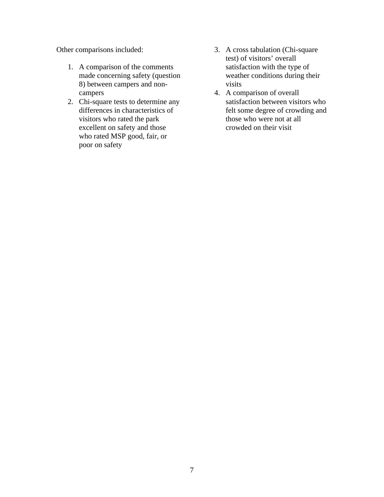Other comparisons included:

- 1. A comparison of the comments made concerning safety (question 8) between campers and noncampers
- 2. Chi-square tests to determine any differences in characteristics of visitors who rated the park excellent on safety and those who rated MSP good, fair, or poor on safety
- 3. A cross tabulation (Chi-square test) of visitors' overall satisfaction with the type of weather conditions during their visits
- 4. A comparison of overall satisfaction between visitors who felt some degree of crowding and those who were not at all crowded on their visit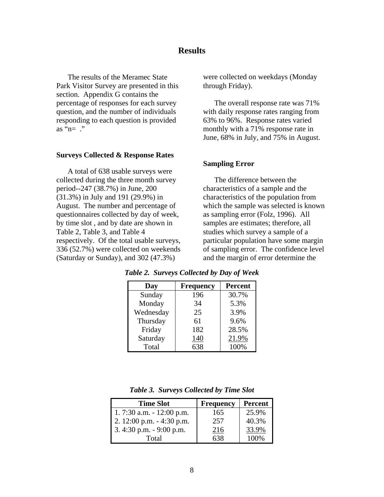# **Results**

 The results of the Meramec State Park Visitor Survey are presented in this section. Appendix G contains the percentage of responses for each survey question, and the number of individuals responding to each question is provided as  $\alpha_{n} =$  ".

#### **Surveys Collected & Response Rates**

 A total of 638 usable surveys were collected during the three month survey period--247 (38.7%) in June, 200 (31.3%) in July and 191 (29.9%) in August. The number and percentage of questionnaires collected by day of week, by time slot , and by date are shown in Table 2, Table 3, and Table 4 respectively. Of the total usable surveys, 336 (52.7%) were collected on weekends (Saturday or Sunday), and 302 (47.3%)

were collected on weekdays (Monday through Friday).

 The overall response rate was 71% with daily response rates ranging from 63% to 96%. Response rates varied monthly with a 71% response rate in June, 68% in July, and 75% in August.

## **Sampling Error**

 The difference between the characteristics of a sample and the characteristics of the population from which the sample was selected is known as sampling error (Folz, 1996). All samples are estimates; therefore, all studies which survey a sample of a particular population have some margin of sampling error. The confidence level and the margin of error determine the

| Day       | <b>Frequency</b> | <b>Percent</b> |
|-----------|------------------|----------------|
| Sunday    | 196              | 30.7%          |
| Monday    | 34               | 5.3%           |
| Wednesday | 25               | 3.9%           |
| Thursday  | 61               | 9.6%           |
| Friday    | 182              | 28.5%          |
| Saturday  | 140              | 21.9%          |
| Total     | 638              | 100%           |

*Table 2. Surveys Collected by Day of Week* 

|  | Table 3. Surveys Collected by Time Slot |  |
|--|-----------------------------------------|--|
|  |                                         |  |

| <b>Time Slot</b>           | <b>Frequency</b> | <b>Percent</b> |
|----------------------------|------------------|----------------|
| 1. 7:30 a.m. $-12:00$ p.m. | 165              | 25.9%          |
| 2. 12:00 p.m. $-4:30$ p.m. | 257              | 40.3%          |
| 3.4:30 p.m. - 9:00 p.m.    | 216              | 33.9%          |
| Total                      | 638              | 100%           |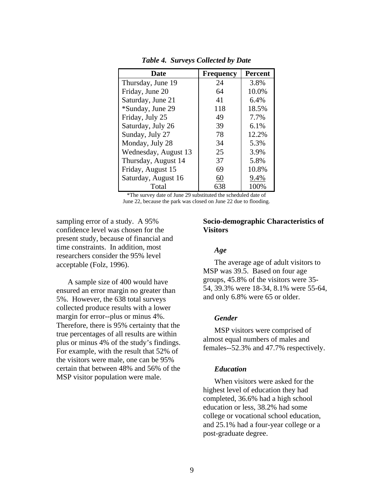| Date                 | <b>Frequency</b> | <b>Percent</b> |
|----------------------|------------------|----------------|
| Thursday, June 19    | 24               | 3.8%           |
| Friday, June 20      | 64               | 10.0%          |
| Saturday, June 21    | 41               | 6.4%           |
| *Sunday, June 29     | 118              | 18.5%          |
| Friday, July 25      | 49               | 7.7%           |
| Saturday, July 26    | 39               | 6.1%           |
| Sunday, July 27      | 78               | 12.2%          |
| Monday, July 28      | 34               | 5.3%           |
| Wednesday, August 13 | 25               | 3.9%           |
| Thursday, August 14  | 37               | 5.8%           |
| Friday, August 15    | 69               | 10.8%          |
| Saturday, August 16  | 60               | 9.4%           |
| Total                | 638              | 100%           |

*Table 4. Surveys Collected by Date* 

\*The survey date of June 29 substituted the scheduled date of June 22, because the park was closed on June 22 due to flooding.

sampling error of a study. A 95% confidence level was chosen for the present study, because of financial and time constraints. In addition, most researchers consider the 95% level acceptable (Folz, 1996).

 A sample size of 400 would have ensured an error margin no greater than 5%. However, the 638 total surveys collected produce results with a lower margin for error--plus or minus 4%. Therefore, there is 95% certainty that the true percentages of all results are within plus or minus 4% of the study's findings. For example, with the result that 52% of the visitors were male, one can be 95% certain that between 48% and 56% of the MSP visitor population were male.

## **Socio-demographic Characteristics of Visitors**

## *Age*

 The average age of adult visitors to MSP was 39.5. Based on four age groups, 45.8% of the visitors were 35- 54, 39.3% were 18-34, 8.1% were 55-64, and only 6.8% were 65 or older.

## *Gender*

 MSP visitors were comprised of almost equal numbers of males and females--52.3% and 47.7% respectively.

## *Education*

 When visitors were asked for the highest level of education they had completed, 36.6% had a high school education or less, 38.2% had some college or vocational school education, and 25.1% had a four-year college or a post-graduate degree.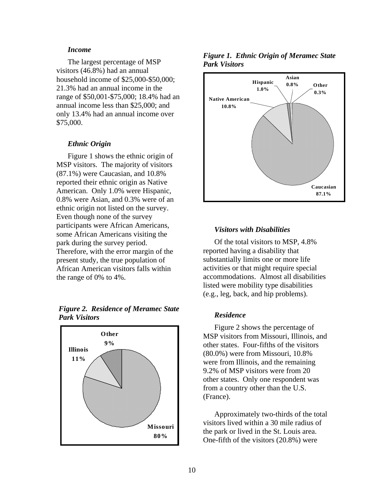## *Income*

 The largest percentage of MSP visitors (46.8%) had an annual household income of \$25,000-\$50,000; 21.3% had an annual income in the range of \$50,001-\$75,000; 18.4% had an annual income less than \$25,000; and only 13.4% had an annual income over \$75,000.

## *Ethnic Origin*

 Figure 1 shows the ethnic origin of MSP visitors. The majority of visitors (87.1%) were Caucasian, and 10.8% reported their ethnic origin as Native American. Only 1.0% were Hispanic, 0.8% were Asian, and 0.3% were of an ethnic origin not listed on the survey. Even though none of the survey participants were African Americans, some African Americans visiting the park during the survey period. Therefore, with the error margin of the present study, the true population of African American visitors falls within the range of 0% to 4%.

## *Figure 2. Residence of Meramec State Park Visitors*



## *Figure 1. Ethnic Origin of Meramec State Park Visitors*



## *Visitors with Disabilities*

 Of the total visitors to MSP, 4.8% reported having a disability that substantially limits one or more life activities or that might require special accommodations. Almost all disabilities listed were mobility type disabilities (e.g., leg, back, and hip problems).

#### *Residence*

 Figure 2 shows the percentage of MSP visitors from Missouri, Illinois, and other states. Four-fifths of the visitors (80.0%) were from Missouri, 10.8% were from Illinois, and the remaining 9.2% of MSP visitors were from 20 other states. Only one respondent was from a country other than the U.S. (France).

 Approximately two-thirds of the total visitors lived within a 30 mile radius of the park or lived in the St. Louis area. One-fifth of the visitors (20.8%) were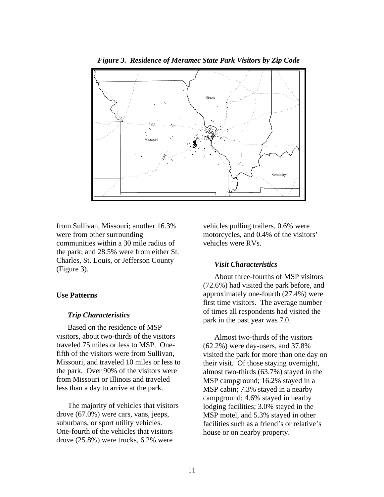

*Figure 3. Residence of Meramec State Park Visitors by Zip Code* 

from Sullivan, Missouri; another 16.3% were from other surrounding communities within a 30 mile radius of the park; and 28.5% were from either St. Charles, St. Louis, or Jefferson County (Figure 3).

## **Use Patterns**

#### *Trip Characteristics*

 Based on the residence of MSP visitors, about two-thirds of the visitors traveled 75 miles or less to MSP. Onefifth of the visitors were from Sullivan, Missouri, and traveled 10 miles or less to the park. Over 90% of the visitors were from Missouri or Illinois and traveled less than a day to arrive at the park.

 The majority of vehicles that visitors drove (67.0%) were cars, vans, jeeps, suburbans, or sport utility vehicles. One-fourth of the vehicles that visitors drove (25.8%) were trucks, 6.2% were

vehicles pulling trailers, 0.6% were motorcycles, and 0.4% of the visitors' vehicles were RVs.

#### *Visit Characteristics*

 About three-fourths of MSP visitors (72.6%) had visited the park before, and approximately one-fourth (27.4%) were first time visitors. The average number of times all respondents had visited the park in the past year was 7.0.

 Almost two-thirds of the visitors (62.2%) were day-users, and 37.8% visited the park for more than one day on their visit. Of those staying overnight, almost two-thirds (63.7%) stayed in the MSP campground; 16.2% stayed in a MSP cabin; 7.3% stayed in a nearby campground; 4.6% stayed in nearby lodging facilities; 3.0% stayed in the MSP motel, and 5.3% stayed in other facilities such as a friend's or relative's house or on nearby property.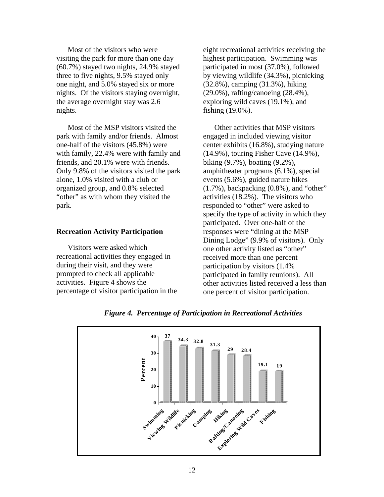Most of the visitors who were visiting the park for more than one day (60.7%) stayed two nights, 24.9% stayed three to five nights, 9.5% stayed only one night, and 5.0% stayed six or more nights. Of the visitors staying overnight, the average overnight stay was 2.6 nights.

 Most of the MSP visitors visited the park with family and/or friends. Almost one-half of the visitors (45.8%) were with family, 22.4% were with family and friends, and 20.1% were with friends. Only 9.8% of the visitors visited the park alone, 1.0% visited with a club or organized group, and 0.8% selected "other" as with whom they visited the park.

#### **Recreation Activity Participation**

 Visitors were asked which recreational activities they engaged in during their visit, and they were prompted to check all applicable activities. Figure 4 shows the percentage of visitor participation in the eight recreational activities receiving the highest participation. Swimming was participated in most (37.0%), followed by viewing wildlife (34.3%), picnicking (32.8%), camping (31.3%), hiking (29.0%), rafting/canoeing (28.4%), exploring wild caves (19.1%), and fishing (19.0%).

 Other activities that MSP visitors engaged in included viewing visitor center exhibits (16.8%), studying nature (14.9%), touring Fisher Cave (14.9%), biking (9.7%), boating (9.2%), amphitheater programs (6.1%), special events (5.6%), guided nature hikes  $(1.7\%)$ , backpacking  $(0.8\%)$ , and "other" activities (18.2%). The visitors who responded to "other" were asked to specify the type of activity in which they participated. Over one-half of the responses were "dining at the MSP Dining Lodge" (9.9% of visitors). Only one other activity listed as "other" received more than one percent participation by visitors (1.4% participated in family reunions). All other activities listed received a less than one percent of visitor participation.



*Figure 4. Percentage of Participation in Recreational Activities*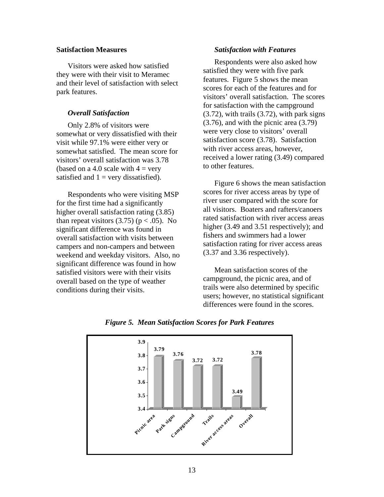## **Satisfaction Measures**

Visitors were asked how satisfied they were with their visit to Meramec and their level of satisfaction with select park features.

#### *Overall Satisfaction*

 Only 2.8% of visitors were somewhat or very dissatisfied with their visit while 97.1% were either very or somewhat satisfied. The mean score for visitors' overall satisfaction was 3.78 (based on a 4.0 scale with  $4 = \text{very}$ ) satisfied and  $1 = \text{very dissatisfied}$ ).

 Respondents who were visiting MSP for the first time had a significantly higher overall satisfaction rating (3.85) than repeat visitors  $(3.75)$  (p < .05). No significant difference was found in overall satisfaction with visits between campers and non-campers and between weekend and weekday visitors. Also, no significant difference was found in how satisfied visitors were with their visits overall based on the type of weather conditions during their visits.

#### *Satisfaction with Features*

 Respondents were also asked how satisfied they were with five park features. Figure 5 shows the mean scores for each of the features and for visitors' overall satisfaction. The scores for satisfaction with the campground (3.72), with trails (3.72), with park signs (3.76), and with the picnic area (3.79) were very close to visitors' overall satisfaction score (3.78). Satisfaction with river access areas, however, received a lower rating (3.49) compared to other features.

Figure 6 shows the mean satisfaction scores for river access areas by type of river user compared with the score for all visitors. Boaters and rafters/canoers rated satisfaction with river access areas higher (3.49 and 3.51 respectively); and fishers and swimmers had a lower satisfaction rating for river access areas (3.37 and 3.36 respectively).

Mean satisfaction scores of the campground, the picnic area, and of trails were also determined by specific users; however, no statistical significant differences were found in the scores.



*Figure 5. Mean Satisfaction Scores for Park Features*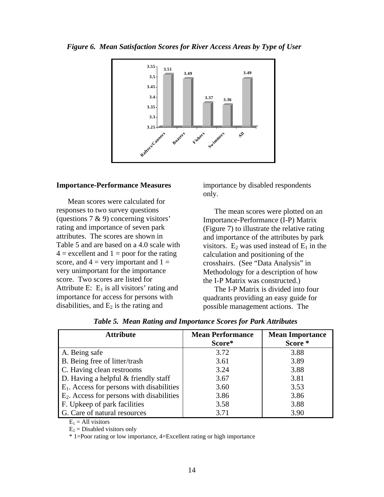*Figure 6. Mean Satisfaction Scores for River Access Areas by Type of User* 



#### **Importance-Performance Measures**

 Mean scores were calculated for responses to two survey questions (questions 7 & 9) concerning visitors' rating and importance of seven park attributes. The scores are shown in Table 5 and are based on a 4.0 scale with  $4 =$  excellent and  $1 =$  poor for the rating score, and  $4 = \text{very important}$  and  $1 =$ very unimportant for the importance score. Two scores are listed for Attribute E:  $E_1$  is all visitors' rating and importance for access for persons with disabilities, and  $E_2$  is the rating and

importance by disabled respondents only.

The mean scores were plotted on an Importance-Performance (I-P) Matrix (Figure 7) to illustrate the relative rating and importance of the attributes by park visitors.  $E_2$  was used instead of  $E_1$  in the calculation and positioning of the crosshairs. (See "Data Analysis" in Methodology for a description of how the I-P Matrix was constructed.)

The I-P Matrix is divided into four quadrants providing an easy guide for possible management actions. The

| <b>Attribute</b>                             | <b>Mean Performance</b><br>Score* | <b>Mean Importance</b><br>Score * |
|----------------------------------------------|-----------------------------------|-----------------------------------|
| A. Being safe                                | 3.72                              | 3.88                              |
| B. Being free of litter/trash                | 3.61                              | 3.89                              |
| C. Having clean restrooms                    | 3.24                              | 3.88                              |
| D. Having a helpful $&$ friendly staff       | 3.67                              | 3.81                              |
| $E_1$ . Access for persons with disabilities | 3.60                              | 3.53                              |
| $E_2$ . Access for persons with disabilities | 3.86                              | 3.86                              |
| F. Upkeep of park facilities                 | 3.58                              | 3.88                              |
| G. Care of natural resources                 | 3.71                              | 3.90                              |

*Table 5. Mean Rating and Importance Scores for Park Attributes* 

 $E_1$  = All visitors

 $E_2$  = Disabled visitors only

\* 1=Poor rating or low importance, 4=Excellent rating or high importance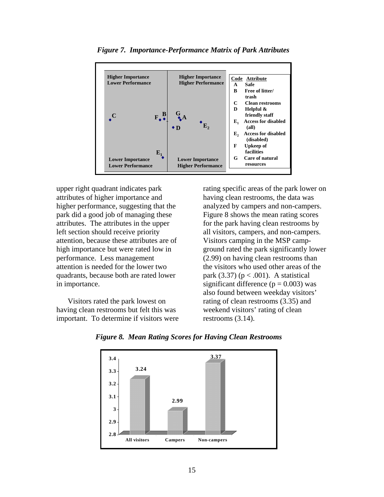

*Figure 7. Importance-Performance Matrix of Park Attributes* 

upper right quadrant indicates park attributes of higher importance and higher performance, suggesting that the park did a good job of managing these attributes. The attributes in the upper left section should receive priority attention, because these attributes are of high importance but were rated low in performance. Less management attention is needed for the lower two quadrants, because both are rated lower in importance.

Visitors rated the park lowest on having clean restrooms but felt this was important. To determine if visitors were rating specific areas of the park lower on having clean restrooms, the data was analyzed by campers and non-campers. Figure 8 shows the mean rating scores for the park having clean restrooms by all visitors, campers, and non-campers. Visitors camping in the MSP campground rated the park significantly lower (2.99) on having clean restrooms than the visitors who used other areas of the park  $(3.37)$  ( $p < .001$ ). A statistical significant difference  $(p = 0.003)$  was also found between weekday visitors' rating of clean restrooms (3.35) and weekend visitors' rating of clean restrooms (3.14).



*Figure 8. Mean Rating Scores for Having Clean Restrooms*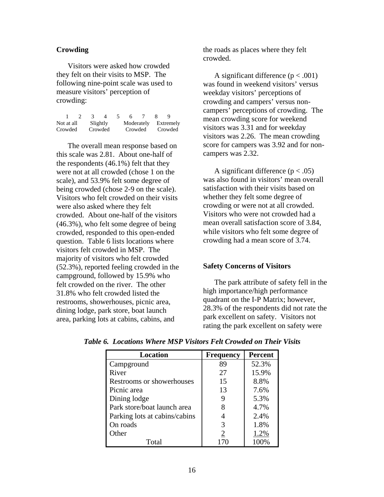## **Crowding**

 Visitors were asked how crowded they felt on their visits to MSP. The following nine-point scale was used to measure visitors' perception of crowding:

|            | $\overline{2}$ | $\mathcal{R}$ | $\Delta$ | -5. | 6 |         | - X | - 9                  |
|------------|----------------|---------------|----------|-----|---|---------|-----|----------------------|
| Not at all |                |               | Slightly |     |   |         |     | Moderately Extremely |
| Crowded    |                |               | Crowded  |     |   | Crowded |     | Crowded              |

 The overall mean response based on this scale was 2.81. About one-half of the respondents (46.1%) felt that they were not at all crowded (chose 1 on the scale), and 53.9% felt some degree of being crowded (chose 2-9 on the scale). Visitors who felt crowded on their visits were also asked where they felt crowded. About one-half of the visitors (46.3%), who felt some degree of being crowded, responded to this open-ended question. Table 6 lists locations where visitors felt crowded in MSP. The majority of visitors who felt crowded (52.3%), reported feeling crowded in the campground, followed by 15.9% who felt crowded on the river. The other 31.8% who felt crowded listed the restrooms, showerhouses, picnic area, dining lodge, park store, boat launch area, parking lots at cabins, cabins, and

the roads as places where they felt crowded.

A significant difference  $(p < .001)$ was found in weekend visitors' versus weekday visitors' perceptions of crowding and campers' versus noncampers' perceptions of crowding. The mean crowding score for weekend visitors was 3.31 and for weekday visitors was 2.26. The mean crowding score for campers was 3.92 and for noncampers was 2.32.

A significant difference  $(p < .05)$ was also found in visitors' mean overall satisfaction with their visits based on whether they felt some degree of crowding or were not at all crowded. Visitors who were not crowded had a mean overall satisfaction score of 3.84, while visitors who felt some degree of crowding had a mean score of 3.74.

## **Safety Concerns of Visitors**

 The park attribute of safety fell in the high importance/high performance quadrant on the I-P Matrix; however, 28.3% of the respondents did not rate the park excellent on safety. Visitors not rating the park excellent on safety were

| <b>Location</b>               | <b>Frequency</b> | <b>Percent</b> |
|-------------------------------|------------------|----------------|
| Campground                    | 89               | 52.3%          |
| River                         | 27               | 15.9%          |
| Restrooms or showerhouses     | 15               | 8.8%           |
| Picnic area                   | 13               | 7.6%           |
| Dining lodge                  | 9                | 5.3%           |
| Park store/boat launch area   |                  | 4.7%           |
| Parking lots at cabins/cabins |                  | 2.4%           |
| On roads                      | 3                | 1.8%           |
| Other                         | 2                | 1.2%           |
| Total                         |                  | 100%           |

*Table 6. Locations Where MSP Visitors Felt Crowded on Their Visits*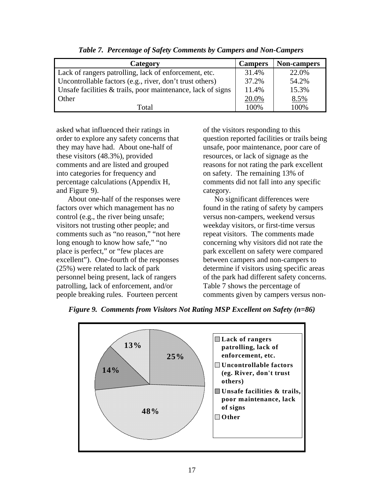| Category                                                      | <b>Campers</b> | <b>Non-campers</b> |
|---------------------------------------------------------------|----------------|--------------------|
| Lack of rangers patrolling, lack of enforcement, etc.         | 31.4%          | 22.0%              |
| Uncontrollable factors (e.g., river, don't trust others)      | 37.2%          | 54.2%              |
| Unsafe facilities $&$ trails, poor maintenance, lack of signs | 11.4%          | 15.3%              |
| Other                                                         | 20.0%          | 8.5%               |
| Total                                                         | 100%           | 100%               |

*Table 7. Percentage of Safety Comments by Campers and Non-Campers* 

asked what influenced their ratings in order to explore any safety concerns that they may have had. About one-half of these visitors (48.3%), provided comments and are listed and grouped into categories for frequency and percentage calculations (Appendix H, and Figure 9).

About one-half of the responses were factors over which management has no control (e.g., the river being unsafe; visitors not trusting other people; and comments such as "no reason," "not here long enough to know how safe," "no place is perfect," or "few places are excellent"). One-fourth of the responses (25%) were related to lack of park personnel being present, lack of rangers patrolling, lack of enforcement, and/or people breaking rules. Fourteen percent

of the visitors responding to this question reported facilities or trails being unsafe, poor maintenance, poor care of resources, or lack of signage as the reasons for not rating the park excellent on safety. The remaining 13% of comments did not fall into any specific category.

 No significant differences were found in the rating of safety by campers versus non-campers, weekend versus weekday visitors, or first-time versus repeat visitors. The comments made concerning why visitors did not rate the park excellent on safety were compared between campers and non-campers to determine if visitors using specific areas of the park had different safety concerns. Table 7 shows the percentage of comments given by campers versus non-



*Figure 9. Comments from Visitors Not Rating MSP Excellent on Safety (n=86)*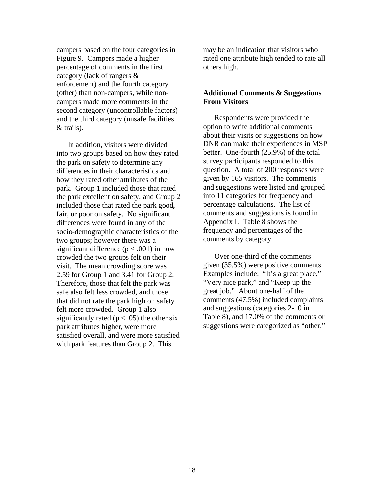campers based on the four categories in Figure 9. Campers made a higher percentage of comments in the first category (lack of rangers & enforcement) and the fourth category (other) than non-campers, while noncampers made more comments in the second category (uncontrollable factors) and the third category (unsafe facilities & trails).

In addition, visitors were divided into two groups based on how they rated the park on safety to determine any differences in their characteristics and how they rated other attributes of the park. Group 1 included those that rated the park excellent on safety, and Group 2 included those that rated the park good*,* fair, or poor on safety. No significant differences were found in any of the socio-demographic characteristics of the two groups; however there was a significant difference  $(p < .001)$  in how crowded the two groups felt on their visit. The mean crowding score was 2.59 for Group 1 and 3.41 for Group 2. Therefore, those that felt the park was safe also felt less crowded, and those that did not rate the park high on safety felt more crowded. Group 1 also significantly rated ( $p < .05$ ) the other six park attributes higher, were more satisfied overall, and were more satisfied with park features than Group 2. This

may be an indication that visitors who rated one attribute high tended to rate all others high.

## **Additional Comments & Suggestions From Visitors**

 Respondents were provided the option to write additional comments about their visits or suggestions on how DNR can make their experiences in MSP better. One-fourth (25.9%) of the total survey participants responded to this question. A total of 200 responses were given by 165 visitors. The comments and suggestions were listed and grouped into 11 categories for frequency and percentage calculations. The list of comments and suggestions is found in Appendix I. Table 8 shows the frequency and percentages of the comments by category.

 Over one-third of the comments given (35.5%) were positive comments. Examples include: "It's a great place," "Very nice park," and "Keep up the great job." About one-half of the comments (47.5%) included complaints and suggestions (categories 2-10 in Table 8), and 17.0% of the comments or suggestions were categorized as "other."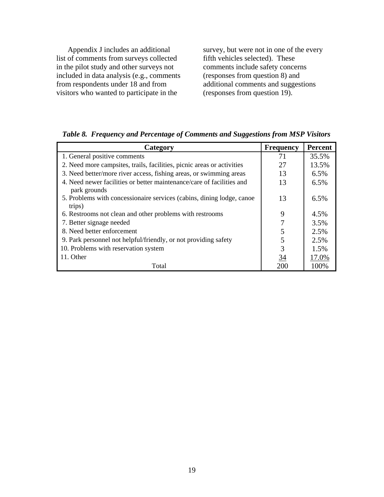Appendix J includes an additional list of comments from surveys collected in the pilot study and other surveys not included in data analysis (e.g., comments from respondents under 18 and from visitors who wanted to participate in the

survey, but were not in one of the every fifth vehicles selected). These comments include safety concerns (responses from question 8) and additional comments and suggestions (responses from question 19).

| Category                                                                              | <b>Frequency</b> | <b>Percent</b> |
|---------------------------------------------------------------------------------------|------------------|----------------|
| 1. General positive comments                                                          | 71               | 35.5%          |
| 2. Need more campsites, trails, facilities, picnic areas or activities                | 27               | 13.5%          |
| 3. Need better/more river access, fishing areas, or swimming areas                    | 13               | 6.5%           |
| 4. Need newer facilities or better maintenance/care of facilities and<br>park grounds | 13               | 6.5%           |
| 5. Problems with concessionaire services (cabins, dining lodge, canoe<br>trips)       | 13               | 6.5%           |
| 6. Restrooms not clean and other problems with restrooms                              | 9                | 4.5%           |
| 7. Better signage needed                                                              | 7                | 3.5%           |
| 8. Need better enforcement                                                            | 5                | 2.5%           |
| 9. Park personnel not helpful/friendly, or not providing safety                       | 5                | 2.5%           |
| 10. Problems with reservation system                                                  | 3                | 1.5%           |
| 11. Other                                                                             | 34               | 17.0%          |
| Total                                                                                 | 200              | 100%           |

*Table 8. Frequency and Percentage of Comments and Suggestions from MSP Visitors*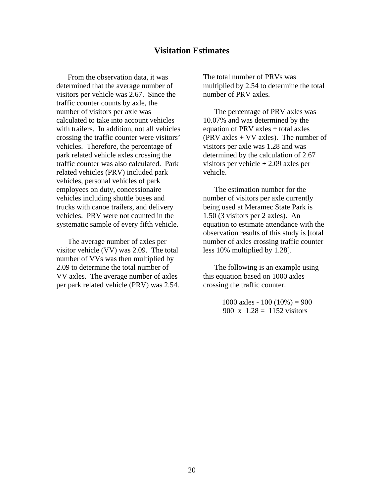# **Visitation Estimates**

 From the observation data, it was determined that the average number of visitors per vehicle was 2.67. Since the traffic counter counts by axle, the number of visitors per axle was calculated to take into account vehicles with trailers. In addition, not all vehicles crossing the traffic counter were visitors' vehicles. Therefore, the percentage of park related vehicle axles crossing the traffic counter was also calculated.Park related vehicles (PRV) included park vehicles, personal vehicles of park employees on duty, concessionaire vehicles including shuttle buses and trucks with canoe trailers, and delivery vehicles. PRV were not counted in the systematic sample of every fifth vehicle.

 The average number of axles per visitor vehicle (VV) was 2.09. The total number of VVs was then multiplied by 2.09 to determine the total number of VV axles. The average number of axles per park related vehicle (PRV) was 2.54. The total number of PRVs was multiplied by 2.54 to determine the total number of PRV axles.

 The percentage of PRV axles was 10.07% and was determined by the equation of PRV axles  $\div$  total axles (PRV axles  $+$  VV axles). The number of visitors per axle was 1.28 and was determined by the calculation of 2.67 visitors per vehicle  $\div$  2.09 axles per vehicle.

 The estimation number for the number of visitors per axle currently being used at Meramec State Park is 1.50 (3 visitors per 2 axles). An equation to estimate attendance with the observation results of this study is [total number of axles crossing traffic counter less 10% multiplied by 1.28].

The following is an example using this equation based on 1000 axles crossing the traffic counter.

> 1000 axles - 100  $(10\%) = 900$ 900 x  $1.28 = 1152$  visitors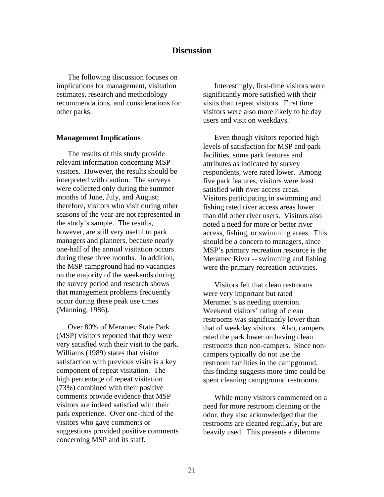# **Discussion**

The following discussion focuses on implications for management, visitation estimates, research and methodology recommendations, and considerations for other parks.

## **Management Implications**

The results of this study provide relevant information concerning MSP visitors. However, the results should be interpreted with caution. The surveys were collected only during the summer months of June, July, and August; therefore, visitors who visit during other seasons of the year are not represented in the study's sample. The results, however, are still very useful to park managers and planners, because nearly one-half of the annual visitation occurs during these three months. In addition, the MSP campground had no vacancies on the majority of the weekends during the survey period and research shows that management problems frequently occur during these peak use times (Manning, 1986).

Over 80% of Meramec State Park (MSP) visitors reported that they were very satisfied with their visit to the park. Williams (1989) states that visitor satisfaction with previous visits is a key component of repeat visitation. The high percentage of repeat visitation (73%) combined with their positive comments provide evidence that MSP visitors are indeed satisfied with their park experience. Over one-third of the visitors who gave comments or suggestions provided positive comments concerning MSP and its staff.

Interestingly, first-time visitors were significantly more satisfied with their visits than repeat visitors. First time visitors were also more likely to be day users and visit on weekdays.

 Even though visitors reported high levels of satisfaction for MSP and park facilities, some park features and attributes as indicated by survey respondents, were rated lower. Among five park features, visitors were least satisfied with river access areas. Visitors participating in swimming and fishing rated river access areas lower than did other river users. Visitors also noted a need for more or better river access, fishing, or swimming areas. This should be a concern to managers, since MSP's primary recreation resource is the Meramec River -- swimming and fishing were the primary recreation activities.

 Visitors felt that clean restrooms were very important but rated Meramec's as needing attention. Weekend visitors' rating of clean restrooms was significantly lower than that of weekday visitors. Also, campers rated the park lower on having clean restrooms than non-campers. Since noncampers typically do not use the restroom facilities in the campground, this finding suggests more time could be spent cleaning campground restrooms.

While many visitors commented on a need for more restroom cleaning or the odor, they also acknowledged that the restrooms are cleaned regularly, but are heavily used. This presents a dilemma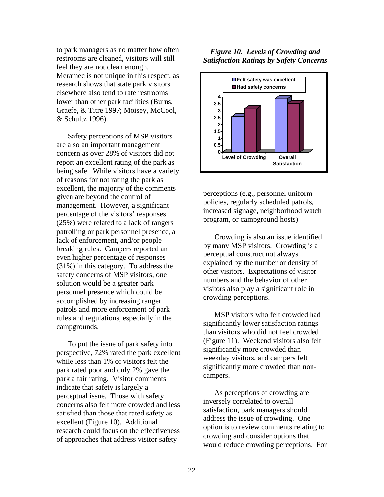to park managers as no matter how often restrooms are cleaned, visitors will still feel they are not clean enough. Meramec is not unique in this respect, as research shows that state park visitors elsewhere also tend to rate restrooms lower than other park facilities (Burns, Graefe, & Titre 1997; Moisey, McCool, & Schultz 1996).

 Safety perceptions of MSP visitors are also an important management concern as over 28% of visitors did not report an excellent rating of the park as being safe. While visitors have a variety of reasons for not rating the park as excellent, the majority of the comments given are beyond the control of management. However, a significant percentage of the visitors' responses (25%) were related to a lack of rangers patrolling or park personnel presence, a lack of enforcement, and/or people breaking rules. Campers reported an even higher percentage of responses (31%) in this category. To address the safety concerns of MSP visitors, one solution would be a greater park personnel presence which could be accomplished by increasing ranger patrols and more enforcement of park rules and regulations, especially in the campgrounds.

To put the issue of park safety into perspective, 72% rated the park excellent while less than 1% of visitors felt the park rated poor and only 2% gave the park a fair rating. Visitor comments indicate that safety is largely a perceptual issue. Those with safety concerns also felt more crowded and less satisfied than those that rated safety as excellent (Figure 10). Additional research could focus on the effectiveness of approaches that address visitor safety

## *Figure 10. Levels of Crowding and Satisfaction Ratings by Safety Concerns*



perceptions (e.g., personnel uniform policies, regularly scheduled patrols, increased signage, neighborhood watch program, or campground hosts)

Crowding is also an issue identified by many MSP visitors. Crowding is a perceptual construct not always explained by the number or density of other visitors. Expectations of visitor numbers and the behavior of other visitors also play a significant role in crowding perceptions.

MSP visitors who felt crowded had significantly lower satisfaction ratings than visitors who did not feel crowded (Figure 11). Weekend visitors also felt significantly more crowded than weekday visitors, and campers felt significantly more crowded than noncampers.

As perceptions of crowding are inversely correlated to overall satisfaction, park managers should address the issue of crowding. One option is to review comments relating to crowding and consider options that would reduce crowding perceptions. For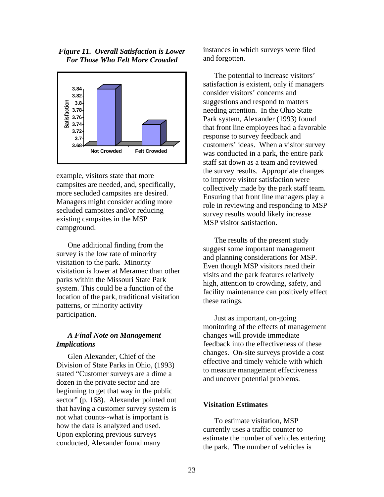*Figure 11. Overall Satisfaction is Lower For Those Who Felt More Crowded* 



example, visitors state that more campsites are needed, and, specifically, more secluded campsites are desired. Managers might consider adding more secluded campsites and/or reducing existing campsites in the MSP campground.

 One additional finding from the survey is the low rate of minority visitation to the park. Minority visitation is lower at Meramec than other parks within the Missouri State Park system. This could be a function of the location of the park, traditional visitation patterns, or minority activity participation.

## *A Final Note on Management Implications*

 Glen Alexander, Chief of the Division of State Parks in Ohio, (1993) stated "Customer surveys are a dime a dozen in the private sector and are beginning to get that way in the public sector" (p. 168). Alexander pointed out that having a customer survey system is not what counts--what is important is how the data is analyzed and used. Upon exploring previous surveys conducted, Alexander found many

instances in which surveys were filed and forgotten.

 The potential to increase visitors' satisfaction is existent, only if managers consider visitors' concerns and suggestions and respond to matters needing attention. In the Ohio State Park system, Alexander (1993) found that front line employees had a favorable response to survey feedback and customers' ideas. When a visitor survey was conducted in a park, the entire park staff sat down as a team and reviewed the survey results. Appropriate changes to improve visitor satisfaction were collectively made by the park staff team. Ensuring that front line managers play a role in reviewing and responding to MSP survey results would likely increase MSP visitor satisfaction.

 The results of the present study suggest some important management and planning considerations for MSP. Even though MSP visitors rated their visits and the park features relatively high, attention to crowding, safety, and facility maintenance can positively effect these ratings.

 Just as important, on-going monitoring of the effects of management changes will provide immediate feedback into the effectiveness of these changes. On-site surveys provide a cost effective and timely vehicle with which to measure management effectiveness and uncover potential problems.

#### **Visitation Estimates**

 To estimate visitation, MSP currently uses a traffic counter to estimate the number of vehicles entering the park. The number of vehicles is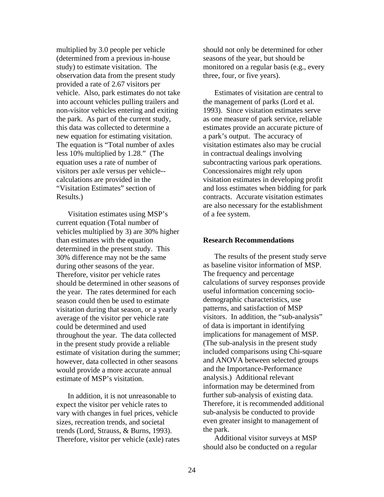multiplied by 3.0 people per vehicle (determined from a previous in-house study) to estimate visitation. The observation data from the present study provided a rate of 2.67 visitors per vehicle. Also, park estimates do not take into account vehicles pulling trailers and non-visitor vehicles entering and exiting the park. As part of the current study, this data was collected to determine a new equation for estimating visitation. The equation is "Total number of axles less 10% multiplied by 1.28." (The equation uses a rate of number of visitors per axle versus per vehicle- calculations are provided in the "Visitation Estimates" section of Results.)

 Visitation estimates using MSP's current equation (Total number of vehicles multiplied by 3) are 30% higher than estimates with the equation determined in the present study. This 30% difference may not be the same during other seasons of the year. Therefore, visitor per vehicle rates should be determined in other seasons of the year. The rates determined for each season could then be used to estimate visitation during that season, or a yearly average of the visitor per vehicle rate could be determined and used throughout the year. The data collected in the present study provide a reliable estimate of visitation during the summer; however, data collected in other seasons would provide a more accurate annual estimate of MSP's visitation.

 In addition, it is not unreasonable to expect the visitor per vehicle rates to vary with changes in fuel prices, vehicle sizes, recreation trends, and societal trends (Lord, Strauss, & Burns, 1993). Therefore, visitor per vehicle (axle) rates should not only be determined for other seasons of the year, but should be monitored on a regular basis (e.g., every three, four, or five years).

 Estimates of visitation are central to the management of parks (Lord et al. 1993). Since visitation estimates serve as one measure of park service, reliable estimates provide an accurate picture of a park's output. The accuracy of visitation estimates also may be crucial in contractual dealings involving subcontracting various park operations. Concessionaires might rely upon visitation estimates in developing profit and loss estimates when bidding for park contracts. Accurate visitation estimates are also necessary for the establishment of a fee system.

#### **Research Recommendations**

The results of the present study serve as baseline visitor information of MSP. The frequency and percentage calculations of survey responses provide useful information concerning sociodemographic characteristics, use patterns, and satisfaction of MSP visitors. In addition, the "sub-analysis" of data is important in identifying implications for management of MSP. (The sub-analysis in the present study included comparisons using Chi-square and ANOVA between selected groups and the Importance-Performance analysis.) Additional relevant information may be determined from further sub-analysis of existing data. Therefore, it is recommended additional sub-analysis be conducted to provide even greater insight to management of the park.

Additional visitor surveys at MSP should also be conducted on a regular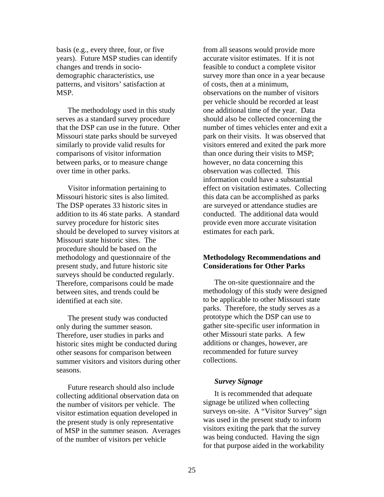basis (e.g., every three, four, or five years). Future MSP studies can identify changes and trends in sociodemographic characteristics, use patterns, and visitors' satisfaction at MSP.

 The methodology used in this study serves as a standard survey procedure that the DSP can use in the future. Other Missouri state parks should be surveyed similarly to provide valid results for comparisons of visitor information between parks, or to measure change over time in other parks.

 Visitor information pertaining to Missouri historic sites is also limited. The DSP operates 33 historic sites in addition to its 46 state parks. A standard survey procedure for historic sites should be developed to survey visitors at Missouri state historic sites. The procedure should be based on the methodology and questionnaire of the present study, and future historic site surveys should be conducted regularly. Therefore, comparisons could be made between sites, and trends could be identified at each site.

 The present study was conducted only during the summer season. Therefore, user studies in parks and historic sites might be conducted during other seasons for comparison between summer visitors and visitors during other seasons.

 Future research should also include collecting additional observation data on the number of visitors per vehicle. The visitor estimation equation developed in the present study is only representative of MSP in the summer season. Averages of the number of visitors per vehicle

from all seasons would provide more accurate visitor estimates. If it is not feasible to conduct a complete visitor survey more than once in a year because of costs, then at a minimum, observations on the number of visitors per vehicle should be recorded at least one additional time of the year. Data should also be collected concerning the number of times vehicles enter and exit a park on their visits. It was observed that visitors entered and exited the park more than once during their visits to MSP; however, no data concerning this observation was collected. This information could have a substantial effect on visitation estimates. Collecting this data can be accomplished as parks are surveyed or attendance studies are conducted. The additional data would provide even more accurate visitation estimates for each park.

## **Methodology Recommendations and Considerations for Other Parks**

The on-site questionnaire and the methodology of this study were designed to be applicable to other Missouri state parks. Therefore, the study serves as a prototype which the DSP can use to gather site-specific user information in other Missouri state parks. A few additions or changes, however, are recommended for future survey collections.

## *Survey Signage*

 It is recommended that adequate signage be utilized when collecting surveys on-site. A "Visitor Survey" sign was used in the present study to inform visitors exiting the park that the survey was being conducted. Having the sign for that purpose aided in the workability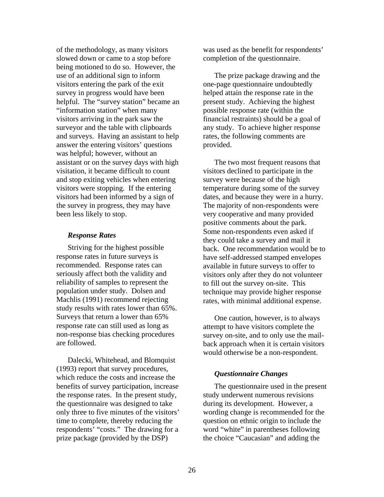of the methodology, as many visitors slowed down or came to a stop before being motioned to do so. However, the use of an additional sign to inform visitors entering the park of the exit survey in progress would have been helpful. The "survey station" became an "information station" when many visitors arriving in the park saw the surveyor and the table with clipboards and surveys. Having an assistant to help answer the entering visitors' questions was helpful; however, without an assistant or on the survey days with high visitation, it became difficult to count and stop exiting vehicles when entering visitors were stopping. If the entering visitors had been informed by a sign of the survey in progress, they may have been less likely to stop.

#### *Response Rates*

 Striving for the highest possible response rates in future surveys is recommended. Response rates can seriously affect both the validity and reliability of samples to represent the population under study. Dolsen and Machlis (1991) recommend rejecting study results with rates lower than 65%. Surveys that return a lower than 65% response rate can still used as long as non-response bias checking procedures are followed.

 Dalecki, Whitehead, and Blomquist (1993) report that survey procedures, which reduce the costs and increase the benefits of survey participation, increase the response rates. In the present study, the questionnaire was designed to take only three to five minutes of the visitors' time to complete, thereby reducing the respondents' "costs." The drawing for a prize package (provided by the DSP)

was used as the benefit for respondents' completion of the questionnaire.

 The prize package drawing and the one-page questionnaire undoubtedly helped attain the response rate in the present study. Achieving the highest possible response rate (within the financial restraints) should be a goal of any study. To achieve higher response rates, the following comments are provided.

 The two most frequent reasons that visitors declined to participate in the survey were because of the high temperature during some of the survey dates, and because they were in a hurry. The majority of non-respondents were very cooperative and many provided positive comments about the park. Some non-respondents even asked if they could take a survey and mail it back. One recommendation would be to have self-addressed stamped envelopes available in future surveys to offer to visitors only after they do not volunteer to fill out the survey on-site. This technique may provide higher response rates, with minimal additional expense.

One caution, however, is to always attempt to have visitors complete the survey on-site, and to only use the mailback approach when it is certain visitors would otherwise be a non-respondent.

## *Questionnaire Changes*

 The questionnaire used in the present study underwent numerous revisions during its development. However, a wording change is recommended for the question on ethnic origin to include the word "white" in parentheses following the choice "Caucasian" and adding the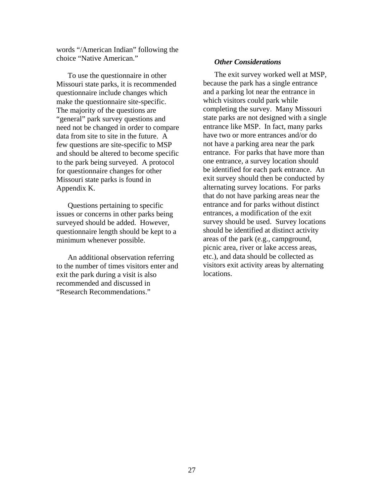words "/American Indian" following the choice "Native American."

 To use the questionnaire in other Missouri state parks, it is recommended questionnaire include changes which make the questionnaire site-specific. The majority of the questions are "general" park survey questions and need not be changed in order to compare data from site to site in the future. A few questions are site-specific to MSP and should be altered to become specific to the park being surveyed. A protocol for questionnaire changes for other Missouri state parks is found in Appendix K.

 Questions pertaining to specific issues or concerns in other parks being surveyed should be added. However, questionnaire length should be kept to a minimum whenever possible.

 An additional observation referring to the number of times visitors enter and exit the park during a visit is also recommended and discussed in "Research Recommendations."

## *Other Considerations*

 The exit survey worked well at MSP, because the park has a single entrance and a parking lot near the entrance in which visitors could park while completing the survey. Many Missouri state parks are not designed with a single entrance like MSP. In fact, many parks have two or more entrances and/or do not have a parking area near the park entrance. For parks that have more than one entrance, a survey location should be identified for each park entrance. An exit survey should then be conducted by alternating survey locations. For parks that do not have parking areas near the entrance and for parks without distinct entrances, a modification of the exit survey should be used. Survey locations should be identified at distinct activity areas of the park (e.g., campground, picnic area, river or lake access areas, etc.), and data should be collected as visitors exit activity areas by alternating locations.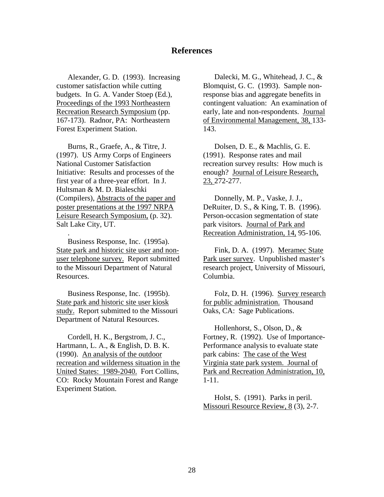## **References**

 Alexander, G. D. (1993). Increasing customer satisfaction while cutting budgets. In G. A. Vander Stoep (Ed.), Proceedings of the 1993 Northeastern Recreation Research Symposium (pp. 167-173). Radnor, PA: Northeastern Forest Experiment Station.

Burns, R., Graefe, A., & Titre, J. (1997). US Army Corps of Engineers National Customer Satisfaction Initiative: Results and processes of the first year of a three-year effort. In J. Hultsman & M. D. Bialeschki (Compilers), Abstracts of the paper and poster presentations at the 1997 NRPA Leisure Research Symposium, (p. 32). Salt Lake City, UT.

 Business Response, Inc. (1995a). State park and historic site user and nonuser telephone survey. Report submitted to the Missouri Department of Natural Resources.

.

 Business Response, Inc. (1995b). State park and historic site user kiosk study. Report submitted to the Missouri Department of Natural Resources.

 Cordell, H. K., Bergstrom, J. C., Hartmann, L. A., & English, D. B. K. (1990). An analysis of the outdoor recreation and wilderness situation in the United States: 1989-2040. Fort Collins, CO: Rocky Mountain Forest and Range Experiment Station.

 Dalecki, M. G., Whitehead, J. C., & Blomquist, G. C. (1993). Sample nonresponse bias and aggregate benefits in contingent valuation: An examination of early, late and non-respondents. Journal of Environmental Management, 38, 133- 143.

 Dolsen, D. E., & Machlis, G. E. (1991). Response rates and mail recreation survey results: How much is enough? Journal of Leisure Research, 23, 272-277.

 Donnelly, M. P., Vaske, J. J., DeRuiter, D. S., & King, T. B. (1996). Person-occasion segmentation of state park visitors. Journal of Park and Recreation Administration, 14, 95-106.

 Fink, D. A. (1997). Meramec State Park user survey. Unpublished master's research project, University of Missouri, Columbia.

 Folz, D. H. (1996). Survey research for public administration. Thousand Oaks, CA: Sage Publications.

 Hollenhorst, S., Olson, D., & Fortney, R. (1992). Use of Importance-Performance analysis to evaluate state park cabins: The case of the West Virginia state park system. Journal of Park and Recreation Administration, 10, 1-11.

 Holst, S. (1991). Parks in peril. Missouri Resource Review, 8 (3), 2-7.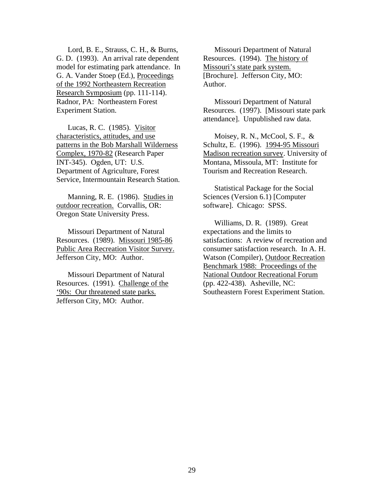Lord, B. E., Strauss, C. H., & Burns, G. D. (1993). An arrival rate dependent model for estimating park attendance. In G. A. Vander Stoep (Ed.), Proceedings of the 1992 Northeastern Recreation Research Symposium (pp. 111-114). Radnor, PA: Northeastern Forest Experiment Station.

 Lucas, R. C. (1985). Visitor characteristics, attitudes, and use patterns in the Bob Marshall Wilderness Complex, 1970-82 (Research Paper INT-345). Ogden, UT: U.S. Department of Agriculture, Forest Service, Intermountain Research Station.

 Manning, R. E. (1986). Studies in outdoor recreation. Corvallis, OR: Oregon State University Press.

 Missouri Department of Natural Resources. (1989). Missouri 1985-86 Public Area Recreation Visitor Survey. Jefferson City, MO: Author.

 Missouri Department of Natural Resources. (1991). Challenge of the '90s: Our threatened state parks. Jefferson City, MO: Author.

 Missouri Department of Natural Resources. (1994). The history of Missouri's state park system. [Brochure]. Jefferson City, MO: Author.

 Missouri Department of Natural Resources. (1997). [Missouri state park attendance]. Unpublished raw data.

Moisey, R. N., McCool, S. F., & Schultz, E. (1996). 1994-95 Missouri Madison recreation survey. University of Montana, Missoula, MT: Institute for Tourism and Recreation Research.

 Statistical Package for the Social Sciences (Version 6.1) [Computer software]. Chicago: SPSS.

 Williams, D. R. (1989). Great expectations and the limits to satisfactions: A review of recreation and consumer satisfaction research. In A. H. Watson (Compiler), Outdoor Recreation Benchmark 1988: Proceedings of the National Outdoor Recreational Forum (pp. 422-438). Asheville, NC: Southeastern Forest Experiment Station.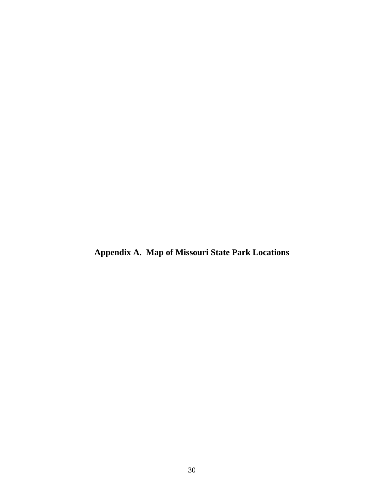**Appendix A. Map of Missouri State Park Locations**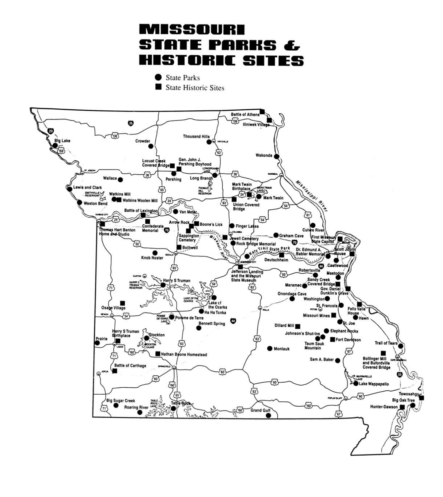#### MISSOURI RTE PARKS *&.* NRI ISTI r sı FS ш - 17 т

State Parks State Historic Sites

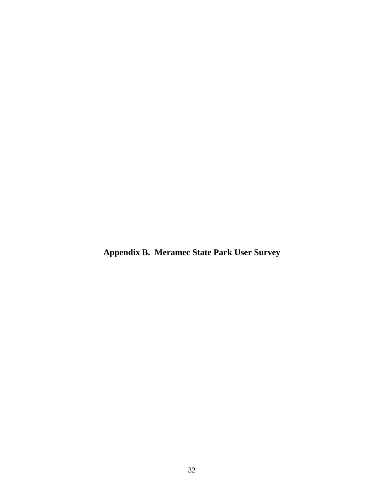**Appendix B. Meramec State Park User Survey**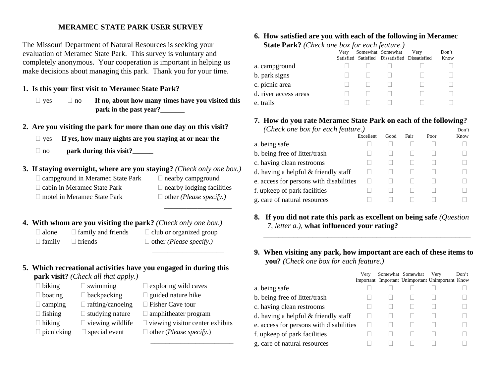# **MERAMEC STATE PARK USER SURVEY**

The Missouri Department of Natural Resources is seeking your evaluation of Meramec State Park. This survey is voluntary and completely anonymous. Your cooperation is important in helping us make decisions about managing this park. Thank you for your time.

# **1. Is this your first visit to Meramec State Park?**

- $\square$  yes  $\Box$  no If no, about how many times have you visited this  **park in the past year?\_\_\_\_\_\_\_**
- **2. Are you visiting the park for more than one day on this visit?**
	- $\Box$  yes If yes, how many nights are you staying at or near the
	- $\Box$  no park during this visit?
- **3. If staying overnight, where are you staying?** *(Check only one box.)*

\_\_\_\_\_\_\_\_\_\_\_\_\_\_\_\_\_\_

- □ campground in Meramec State Park □ cabin in Meramec State Park □ motel in Meramec State Park
- $\Box$  nearby campground  $\Box$  nearby lodging facilities other *(Please specify.)*
- **4. With whom are you visiting the park?** *(Check only one box*.*)* alone  $\Box$  family and friends  $\Box$  club or organized group  $\Box$  family  $\Box$  friends other *(Please specify.)*

# **5. Which recreational activities have you engaged in during this park visit?** *(Check all that apply*.*)*

\_\_\_\_\_\_\_\_\_\_\_\_\_\_\_\_\_\_\_

 biking  $\square$  swimming  $\square$  exploring wild caves  $\square$  boating  $\square$  backpacking  $\square$  guided nature hike  $\square$  camping  $\Box$  rafting/canoeing Fisher Cave tour  $\Box$  fishing  $\Box$  studying nature amphitheater program hiking  $\Box$  viewing wildlife  $\Box$  viewing visitor center exhibits  $\Box$  picnicking  $\square$  special event other (*Please specify*.)

\_\_\_\_\_\_\_\_\_\_\_\_\_\_\_\_\_\_\_\_\_\_

# **6. How satisfied are you with each of the following in Meramec**

# **State Park?** *(Check one box for each feature.)*

| Very |  | Very              | Don't<br>Know                                 |
|------|--|-------------------|-----------------------------------------------|
|      |  |                   |                                               |
|      |  |                   |                                               |
|      |  |                   |                                               |
|      |  |                   |                                               |
|      |  |                   |                                               |
|      |  | Somewhat Somewhat | Satisfied Satisfied Dissatisfied Dissatisfied |

# **7. How do you rate Meramec State Park on each of the following?**

| (Check one box for each feature.)       |           |      |      |      |      |  |
|-----------------------------------------|-----------|------|------|------|------|--|
|                                         | Excellent | Good | Fair | Poor | Know |  |
| a. being safe                           |           |      |      |      |      |  |
| b. being free of litter/trash           |           |      |      |      |      |  |
| c. having clean restrooms               |           |      |      |      |      |  |
| d. having a helpful $&$ friendly staff  |           |      |      |      |      |  |
| e. access for persons with disabilities |           |      |      |      |      |  |
| f. upkeep of park facilities            |           |      |      |      |      |  |
| g. care of natural resources            |           |      |      |      |      |  |
|                                         |           |      |      |      |      |  |

**8. If you did not rate this park as excellent on being safe** *(Question 7, letter a.)*, **what influenced your rating?**

 $\mathcal{L}_\text{max}$  , and the contribution of the contribution of the contribution of the contribution of the contribution of the contribution of the contribution of the contribution of the contribution of the contribution of t

**9. When visiting any park, how important are each of these items to you?** *(Check one box for each feature.)*

|                                         | Very | Somewhat Somewhat<br>Important Important Unimportant Unimportant Know | Very | Don't |
|-----------------------------------------|------|-----------------------------------------------------------------------|------|-------|
| a. being safe                           |      |                                                                       |      |       |
| b. being free of litter/trash           |      |                                                                       |      |       |
| c. having clean restrooms               |      |                                                                       |      |       |
| d. having a helpful $&$ friendly staff  |      |                                                                       |      |       |
| e. access for persons with disabilities |      |                                                                       |      |       |
| f. upkeep of park facilities            |      |                                                                       |      |       |
| g. care of natural resources            |      |                                                                       |      |       |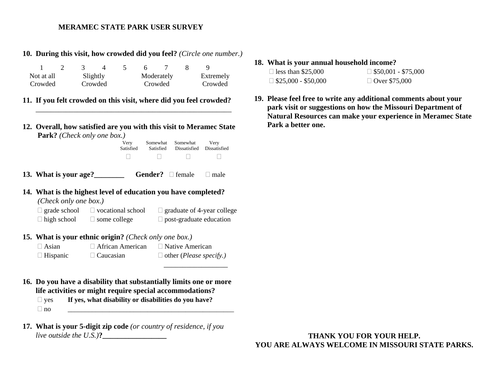#### **MERAMEC STATE PARK USER SURVEY**

#### **10. During this visit, how crowded did you feel?** *(Circle one number.)*

| Not at all | Slightly |  | Moderately | Extremely |
|------------|----------|--|------------|-----------|
| Crowded    | Crowded  |  | Crowded    | Crowded   |

- **11. If you felt crowded on this visit, where did you feel crowded?**  \_\_\_\_\_\_\_\_\_\_\_\_\_\_\_\_\_\_\_\_\_\_\_\_\_\_\_\_\_\_\_\_\_\_\_\_\_\_\_\_\_\_\_\_\_\_\_\_\_\_\_\_
- **12. Overall, how satisfied are you with this visit to Meramec State Park?** *(Check only one box.)*

|  | Very Somewhat Somewhat Very<br>Satisfied Satisfied Dissatisfied Dissatisfied |  |
|--|------------------------------------------------------------------------------|--|
|  | $\Box$ . $\Box$ . $\Box$ . $\Box$ . $\Box$                                   |  |

- **13. What is your age? Gender?**  $\Box$  female  $\Box$  male
- **14. What is the highest level of education you have completed?**  *(Check only one box*.*)*

| $\Box$ grade school | $\Box$ vocational school | $\Box$ graduate of 4-year college |
|---------------------|--------------------------|-----------------------------------|
| $\Box$ high school  | $\Box$ some college      | $\Box$ post-graduate education    |

**15. What is your ethnic origin?** *(Check only one box*.*)*

| $\Box$ Asian    | $\Box$ African American | $\Box$ Native American                  |
|-----------------|-------------------------|-----------------------------------------|
| $\Box$ Hispanic | $\Box$ Caucasian        | $\Box$ other ( <i>Please specify.</i> ) |

**16. Do you have a disability that substantially limits one or more life activities or might require special accommodations?** 

 $\sim$  . The contract of the contract of the contract of the contract of the contract of the contract of the contract of the contract of the contract of the contract of the contract of the contract of the contract of the co

 $\Box$  yes If yes, what disability or disabilities do you have?  $\Box$  no  $\overline{\phantom{a}}$  , and the contract of the contract of the contract of  $\overline{\phantom{a}}$  ,  $\overline{\phantom{a}}$ 

**17. What is your 5-digit zip code** *(or country of residence, if you live outside the U.S.*)?

#### **18. What is your annual household income?**

| $\Box$ less than \$25,000  | $\Box$ \$50,001 - \$75,000 |
|----------------------------|----------------------------|
| $\Box$ \$25,000 - \$50,000 | $\Box$ Over \$75,000       |

**19. Please feel free to write any additional comments about your park visit or suggestions on how the Missouri Department of Natural Resources can make your experience in Meramec State Park a better one.** 

**THANK YOU FOR YOUR HELP. YOU ARE ALWAYS WELCOME IN MISSOURI STATE PARKS.**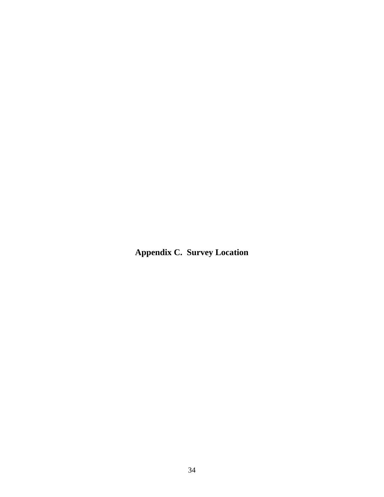**Appendix C. Survey Location**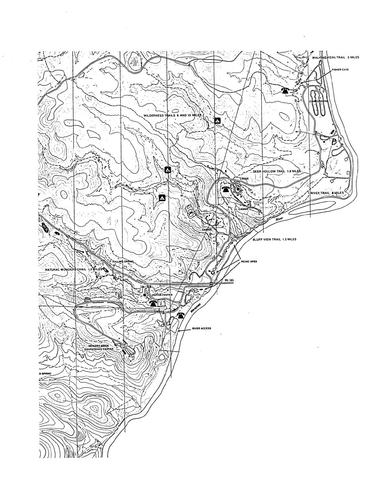

 $\tilde{\omega}$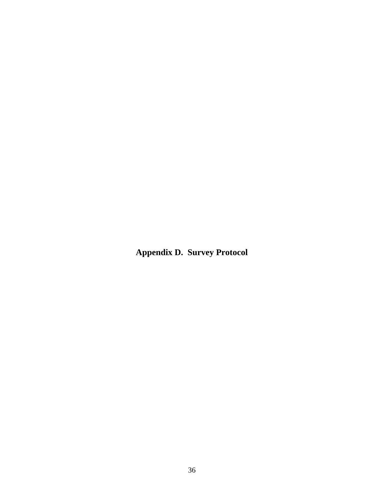**Appendix D. Survey Protocol**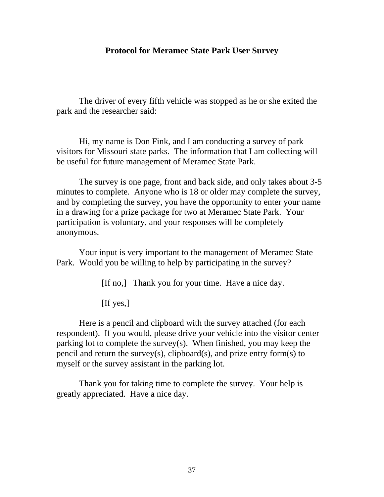# **Protocol for Meramec State Park User Survey**

 The driver of every fifth vehicle was stopped as he or she exited the park and the researcher said:

 Hi, my name is Don Fink, and I am conducting a survey of park visitors for Missouri state parks. The information that I am collecting will be useful for future management of Meramec State Park.

 The survey is one page, front and back side, and only takes about 3-5 minutes to complete. Anyone who is 18 or older may complete the survey, and by completing the survey, you have the opportunity to enter your name in a drawing for a prize package for two at Meramec State Park. Your participation is voluntary, and your responses will be completely anonymous.

 Your input is very important to the management of Meramec State Park. Would you be willing to help by participating in the survey?

[If no,] Thank you for your time. Have a nice day.

[If yes,]

 Here is a pencil and clipboard with the survey attached (for each respondent). If you would, please drive your vehicle into the visitor center parking lot to complete the survey(s). When finished, you may keep the pencil and return the survey(s), clipboard(s), and prize entry form(s) to myself or the survey assistant in the parking lot.

 Thank you for taking time to complete the survey. Your help is greatly appreciated. Have a nice day.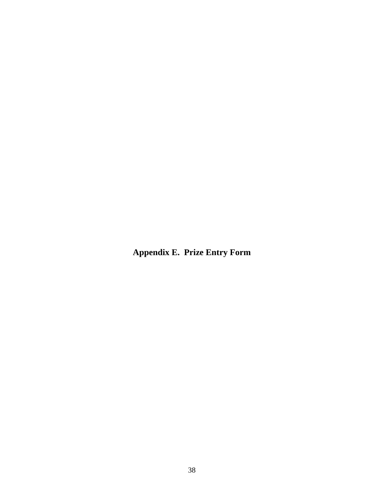**Appendix E. Prize Entry Form**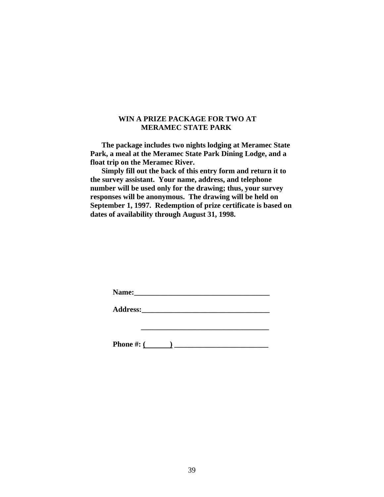### **WIN A PRIZE PACKAGE FOR TWO AT MERAMEC STATE PARK**

 **The package includes two nights lodging at Meramec State Park, a meal at the Meramec State Park Dining Lodge, and a float trip on the Meramec River.** 

 **Simply fill out the back of this entry form and return it to the survey assistant. Your name, address, and telephone number will be used only for the drawing; thus, your survey responses will be anonymous. The drawing will be held on September 1, 1997. Redemption of prize certificate is based on dates of availability through August 31, 1998.** 

| Name:           |  |
|-----------------|--|
| <b>Address:</b> |  |
|                 |  |

 **Phone #: ( ) \_\_\_\_\_\_\_\_\_\_\_\_\_\_\_\_\_\_\_\_\_\_\_\_\_**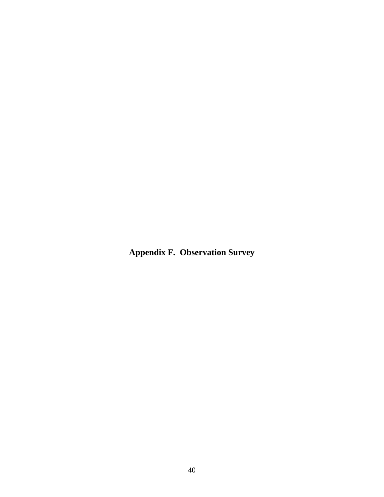**Appendix F. Observation Survey**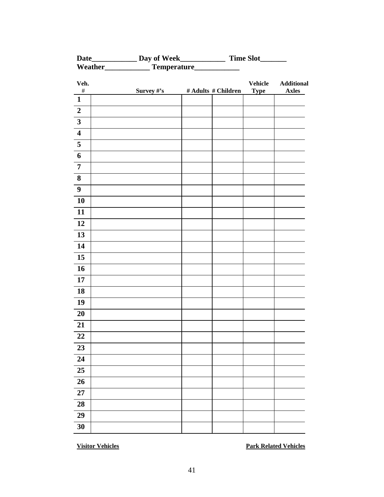|                         |            | Temperature_____________ |                     |                               |                                   |
|-------------------------|------------|--------------------------|---------------------|-------------------------------|-----------------------------------|
| Veh.<br>$\#$            | Survey #'s |                          | # Adults # Children | <b>Vehicle</b><br><b>Type</b> | <b>Additional</b><br><b>Axles</b> |
| $\mathbf{1}$            |            |                          |                     |                               |                                   |
| $\overline{2}$          |            |                          |                     |                               |                                   |
| $\overline{\mathbf{3}}$ |            |                          |                     |                               |                                   |
| $\overline{\mathbf{4}}$ |            |                          |                     |                               |                                   |
| $\overline{\mathbf{5}}$ |            |                          |                     |                               |                                   |
| $\boldsymbol{6}$        |            |                          |                     |                               |                                   |
| $\overline{7}$          |            |                          |                     |                               |                                   |
| $\bf 8$                 |            |                          |                     |                               |                                   |
| $\boldsymbol{9}$        |            |                          |                     |                               |                                   |
| 10                      |            |                          |                     |                               |                                   |
| 11                      |            |                          |                     |                               |                                   |
| 12                      |            |                          |                     |                               |                                   |
| 13                      |            |                          |                     |                               |                                   |
| 14                      |            |                          |                     |                               |                                   |
| 15                      |            |                          |                     |                               |                                   |
| 16                      |            |                          |                     |                               |                                   |
| 17                      |            |                          |                     |                               |                                   |
| 18                      |            |                          |                     |                               |                                   |
| 19                      |            |                          |                     |                               |                                   |
| 20                      |            |                          |                     |                               |                                   |
| 21                      |            |                          |                     |                               |                                   |
| $\overline{22}$         |            |                          |                     |                               |                                   |
| 23                      |            |                          |                     |                               |                                   |
| 24                      |            |                          |                     |                               |                                   |
| 25                      |            |                          |                     |                               |                                   |
| 26                      |            |                          |                     |                               |                                   |
| $27\,$                  |            |                          |                     |                               |                                   |
| 28                      |            |                          |                     |                               |                                   |
| 29                      |            |                          |                     |                               |                                   |
| 30                      |            |                          |                     |                               |                                   |

**Visitor Vehicles Visitor Vehicles Park Related Vehicles**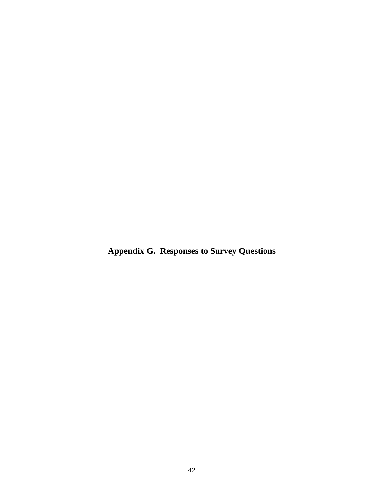**Appendix G. Responses to Survey Questions**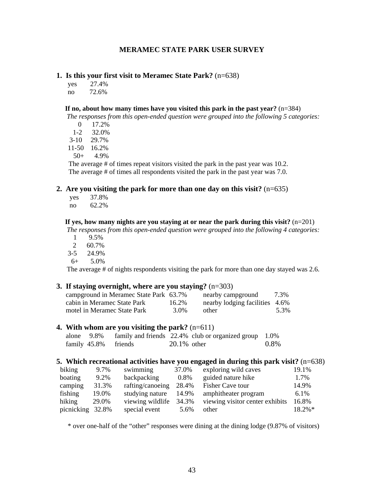#### **MERAMEC STATE PARK USER SURVEY**

#### **1. Is this your first visit to Meramec State Park?** (n=638)

yes 27.4%

no 72.6%

#### **If no, about how many times have you visited this park in the past year?** (n=384)

*The responses from this open-ended question were grouped into the following 5 categories:*

- 0 17.2%
- 1-2 32.0%
- 3-10 29.7%
- 11-50 16.2%
- 50+ 4.9%

 The average # of times repeat visitors visited the park in the past year was 10.2. The average # of times all respondents visited the park in the past year was 7.0.

#### **2. Are you visiting the park for more than one day on this visit?** (n=635)

- yes 37.8%
- no 62.2%

#### **If yes, how many nights are you staying at or near the park during this visit?** (n=201)

*The responses from this open-ended question were grouped into the following 4 categories:*

- 1 9.5%
- 2 60.7%
- 3-5 24.9%
- 6+ 5.0%

The average # of nights respondents visiting the park for more than one day stayed was 2.6.

#### **3. If staying overnight, where are you staying?** (n=303)

| campground in Meramec State Park 63.7% |       | nearby campground              | 7.3% |
|----------------------------------------|-------|--------------------------------|------|
| cabin in Meramec State Park            | 16.2% | nearby lodging facilities 4.6% |      |
| motel in Meramec State Park            | 3.0%  | other                          | 5.3% |

#### **4. With whom are you visiting the park?** (n=611)

| alone $9.8\%$        |  |                | family and friends 22.4% club or organized group 1.0% |      |
|----------------------|--|----------------|-------------------------------------------------------|------|
| family 45.8% friends |  | $20.1\%$ other |                                                       | 0.8% |

#### **5. Which recreational activities have you engaged in during this park visit?** (n=638)

| biking           | 9.7%  | swimming         | 37.0% | exploring wild caves            | 19.1%   |
|------------------|-------|------------------|-------|---------------------------------|---------|
| boating          | 9.2%  | backpacking      | 0.8%  | guided nature hike              | 1.7%    |
| camping          | 31.3% | rafting/canoeing | 28.4% | Fisher Cave tour                | 14.9%   |
| fishing          | 19.0% | studying nature  | 14.9% | amphitheater program            | $6.1\%$ |
| hiking           | 29.0% | viewing wildlife | 34.3% | viewing visitor center exhibits | 16.8%   |
| picnicking 32.8% |       | special event    | 5.6%  | other                           | 18.2%*  |

\* over one-half of the "other" responses were dining at the dining lodge (9.87% of visitors)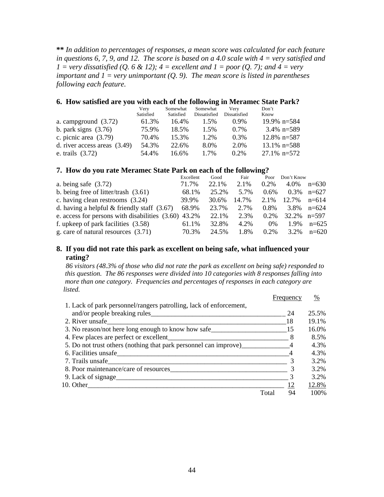**\*\*** *In addition to percentages of responses, a mean score was calculated for each feature in questions 6, 7, 9, and 12. The score is based on a 4.0 scale with 4 = very satisfied and 1* = very dissatisfied (Q, 6 & 12);  $4 =$  excellent and  $1 =$  poor (Q, 7); and  $4 =$  very *important and*  $1 = \text{very unimportant} (Q. 9)$ *. The mean score is listed in parentheses following each feature.*

#### **6.** How satisfied are you with each of the following in Meramec State Park?

|                                | Very      | Somewhat  | Somewhat     | Very         | Don't          |
|--------------------------------|-----------|-----------|--------------|--------------|----------------|
|                                | Satisfied | Satisfied | Dissatisfied | Dissatisfied | Know           |
| a. campground $(3.72)$         | 61.3%     | 16.4%     | 1.5%         | $0.9\%$      | 19.9% $n=584$  |
| b. park signs $(3.76)$         | 75.9%     | 18.5%     | $1.5\%$      | $0.7\%$      | 3.4% $n=589$   |
| c. picnic area $(3.79)$        | 70.4%     | 15.3%     | 1.2%         | $0.3\%$      | $12.8\%$ n=587 |
| d. river access areas $(3.49)$ | 54.3%     | 22.6%     | 8.0%         | 2.0%         | 13.1% n=588    |
| e. trails (3.72)               | 54.4%     | 16.6%     | 1.7%         | $0.2\%$      | $27.1\%$ n=572 |

# **7. How do you rate Meramec State Park on each of the following?**

|                                                        | Excellent | Good  | Fair  | Poor    | Don't Know |         |
|--------------------------------------------------------|-----------|-------|-------|---------|------------|---------|
| a. being safe $(3.72)$                                 | 71.7%     | 22.1% | 2.1%  | $0.2\%$ | 4.0%       | $n=630$ |
| b. being free of litter/trash $(3.61)$                 | 68.1%     | 25.2% | 5.7%  | $0.6\%$ | $0.3\%$    | $n=627$ |
| c. having clean restrooms (3.24)                       | 39.9%     | 30.6% | 14.7% | 2.1%    | 12.7%      | $n=614$ |
| d. having a helpful $\&$ friendly staff $(3.67)$       | 68.9%     | 23.7% | 2.7%  | $0.8\%$ | 3.8%       | $n=624$ |
| e. access for persons with disabilities $(3.60)$ 43.2% |           | 22.1% | 2.3%  | $0.2\%$ | 32.2%      | $n=597$ |
| f. upkeep of park facilities $(3.58)$                  | 61.1%     | 32.8% | 4.2%  | $0\%$   | 1.9%       | $n=625$ |
| g. care of natural resources (3.71)                    | 70.3%     | 24.5% | 1.8%  | $0.2\%$ | 3.2%       | $n=620$ |

### **8. If you did not rate this park as excellent on being safe, what influenced your rating?**

 *86 visitors (48.3% of those who did not rate the park as excellent on being safe) responded to this question. The 86 responses were divided into 10 categories with 8 responses falling into more than one category. Frequencies and percentages of responses in each category are listed.* 

|                                                                                  | Frequency      | $\frac{0}{0}$ |
|----------------------------------------------------------------------------------|----------------|---------------|
| 1. Lack of park personnel/rangers patrolling, lack of enforcement,               |                |               |
| and/or people breaking rules                                                     | 24             | 25.5%         |
| 2. River unsafe                                                                  | -18            | 19.1%         |
| 3. No reason/not here long enough to know how safe_                              | -15            | 16.0%         |
| 4. Few places are perfect or excellent                                           |                | 8.5%          |
| 5. Do not trust others (nothing that park personnel can improve)________________ | $\overline{4}$ | 4.3%          |
| 6. Facilities unsafe                                                             |                | 4.3%          |
| 7. Trails unsafe                                                                 |                | 3.2%          |
| 8. Poor maintenance/care of resources                                            |                | 3.2%          |
| 9. Lack of signage                                                               |                | 3.2%          |
| 10. Other                                                                        | 12             | 12.8%         |
|                                                                                  | Total          | 100%          |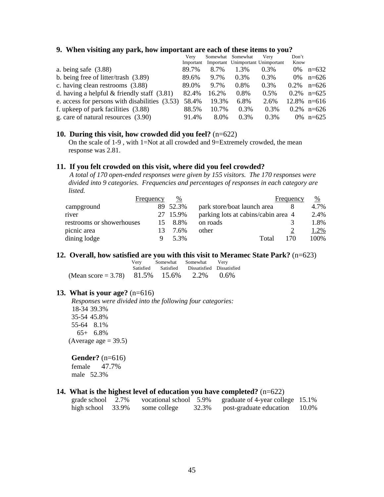|  |  | 9. When visiting any park, how important are each of these items to you? |
|--|--|--------------------------------------------------------------------------|
|  |  |                                                                          |

|                                                  | Very      |       | Somewhat Somewhat | Very                              | Don't   |                |
|--------------------------------------------------|-----------|-------|-------------------|-----------------------------------|---------|----------------|
|                                                  | Important |       |                   | Important Unimportant Unimportant | Know    |                |
| a. being safe $(3.88)$                           | 89.7%     | 8.7%  | 1.3%              | $0.3\%$                           | $0\%$   | $n=632$        |
| b. being free of litter/trash $(3.89)$           | 89.6%     | 9.7%  | $0.3\%$           | 0.3%                              | $0\%$   | $n=626$        |
| c. having clean restrooms (3.88)                 | 89.0%     | 9.7%  | 0.8%              | 0.3%                              | $0.2\%$ | $n=626$        |
| d. having a helpful $\&$ friendly staff $(3.81)$ | 82.4%     | 16.2% | 0.8%              | 0.5%                              | $0.2\%$ | $n=625$        |
| e. access for persons with disabilities $(3.53)$ | 58.4%     | 19.3% | 6.8%              | 2.6%                              |         | $12.8\%$ n=616 |
| f. upkeep of park facilities (3.88)              | 88.5%     | 10.7% | 0.3%              | $0.3\%$                           |         | $0.2\%$ n=626  |
| g. care of natural resources (3.90)              | 91.4%     | 8.0%  | 0.3%              | $0.3\%$                           | $0\%$   | $n=625$        |

#### **10. During this visit, how crowded did you feel?** (n=622)

 On the scale of 1-9 , with 1=Not at all crowded and 9=Extremely crowded, the mean response was 2.81.

#### **11. If you felt crowded on this visit, where did you feel crowded?**

*A total of 170 open-ended responses were given by 155 visitors. The 170 responses were divided into 9 categories. Frequencies and percentages of responses in each category are listed.* 

|                           | Frequency | $\%$     |                                     | Frequency | $\frac{0}{0}$ |
|---------------------------|-----------|----------|-------------------------------------|-----------|---------------|
| campground                | 89        | 52.3%    | park store/boat launch area         |           | 4.7%          |
| river                     |           | 27 15.9% | parking lots at cabins/cabin area 4 |           | 2.4%          |
| restrooms or showerhouses |           | 8.8%     | on roads                            |           | 1.8%          |
| picnic area               |           | 7.6%     | other                               |           | 1.2%          |
| dining lodge              |           | 5 3%     | Total                               | 170       | 100\%         |

#### **12. Overall, how satisfied are you with this visit to Meramec State Park?** (n=623)

|                                                 | Verv | Somewhat Somewhat Verv                        |  |
|-------------------------------------------------|------|-----------------------------------------------|--|
|                                                 |      | Satisfied Satisfied Dissatisfied Dissatisfied |  |
| (Mean score = 3.78) $81.5\%$ 15.6% $2.2\%$ 0.6% |      |                                               |  |

#### **13. What is your age?** (n=616)

 *Responses were divided into the following four categories:*  18-34 39.3% 35-54 45.8% 55-64 8.1% 65+ 6.8% (Average age  $= 39.5$ )

#### **Gender?** (n=616)

 female 47.7% male 52.3%

#### **14. What is the highest level of education you have completed?** (n=622)

| grade school 2.7%    | vocational school 5.9% |       | graduate of 4-year college 15.1% |       |
|----------------------|------------------------|-------|----------------------------------|-------|
| high school $33.9\%$ | some college           | 32.3% | post-graduate education          | 10.0% |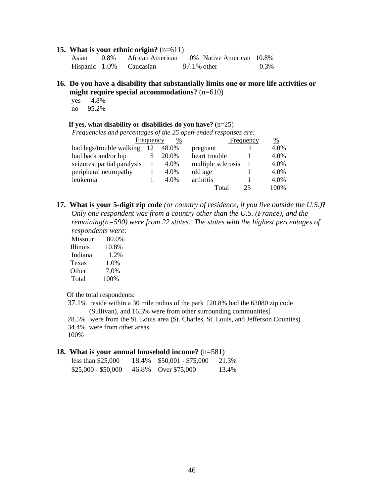#### **15. What is your ethnic origin?** (n=611)

| Asian            | 0.8% | African American | 0\% Native American 10.8\% |         |
|------------------|------|------------------|----------------------------|---------|
| Hispanic $1.0\%$ |      | Caucasian        | $87.1\%$ other             | $0.3\%$ |

#### **16. Do you have a disability that substantially limits one or more life activities or might require special accommodations?** (n=610)

 yes 4.8% no 95.2%

#### **If yes, what disability or disabilities do you have?** (n=25)

*Frequencies and percentages of the 25 open-ended responses are:* 

|                             | Frequency | %     |                    | Frequency | %    |
|-----------------------------|-----------|-------|--------------------|-----------|------|
| bad legs/trouble walking    | 12        | 48.0% | pregnant           |           | 4.0% |
| bad back and/or hip         |           | 20.0% | heart trouble      |           | 4.0% |
| seizures, partial paralysis |           | 4.0%  | multiple sclerosis |           | 4.0% |
| peripheral neuropathy       |           | 4.0%  | old age            |           | 4.0% |
| leukemia                    |           | 4.0%  | arthritis          |           | 4.0% |
|                             |           |       | Total              | 25        | 100% |
|                             |           |       |                    |           |      |

**17. What is your 5-digit zip code** *(or country of residence, if you live outside the U.S.)***?**  *Only one respondent was from a country other than the U.S. (France), and the remaining(n=590) were from 22 states. The states with the highest percentages of* 

 *respondents were:* Missouri 80.0%

| Illinois | 10.8% |
|----------|-------|
| Indiana  | 1.2%  |
| Texas    | 1.0%  |
| Other    | 7.0%  |
| Total    | 100%  |

Of the total respondents:

- 37.1% reside within a 30 mile radius of the park [20.8% had the 63080 zip code (Sullivan), and 16.3% were from other surrounding communities]
- 28.5% were from the St. Louis area (St. Charles, St. Louis, and Jefferson Counties)
- 34.4% were from other areas

100%

#### **18. What is your annual household income?** (n=581)

| less than $$25,000$ | 18.4% | \$50,001 - \$75,000 | 21.3% |
|---------------------|-------|---------------------|-------|
| $$25,000 - $50,000$ |       | 46.8% Over \$75,000 | 13.4% |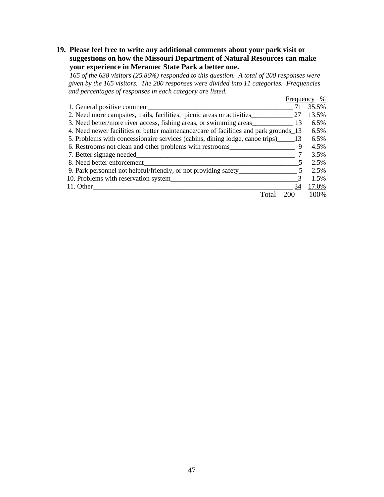**19. Please feel free to write any additional comments about your park visit or suggestions on how the Missouri Department of Natural Resources can make your experience in Meramec State Park a better one.** 

 *165 of the 638 visitors (25.86%) responded to this question. A total of 200 responses were given by the 165 visitors. The 200 responses were divided into 11 categories. Frequencies and percentages of responses in each category are listed.* 

|                                                                                       | Frequency | %     |
|---------------------------------------------------------------------------------------|-----------|-------|
| 1. General positive comment                                                           |           | 35.5% |
| 2. Need more campsites, trails, facilities, picnic areas or activities                | 27        | 13.5% |
| 3. Need better/more river access, fishing areas, or swimming areas                    | - 13      | 6.5%  |
| 4. Need newer facilities or better maintenance/care of facilities and park grounds_13 |           | 6.5%  |
| 5. Problems with concessionaire services (cabins, dining lodge, canoe trips) 13       |           | 6.5%  |
| 6. Restrooms not clean and other problems with restrooms                              | 9         | 4.5%  |
| 7. Better signage needed                                                              |           | 3.5%  |
| 8. Need better enforcement                                                            |           | 2.5%  |
| 9. Park personnel not helpful/friendly, or not providing safety_                      |           | 2.5%  |
| 10. Problems with reservation system_                                                 |           | 1.5%  |
| 11. Other                                                                             | 34        | 17.0% |
|                                                                                       |           | 100%  |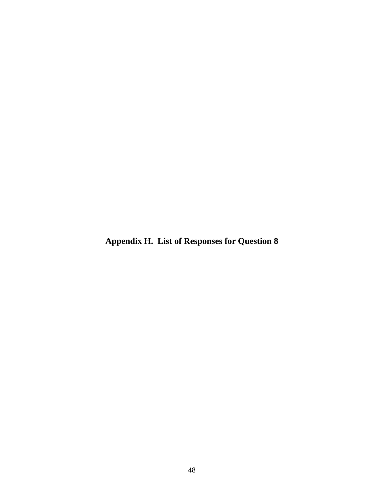**Appendix H. List of Responses for Question 8**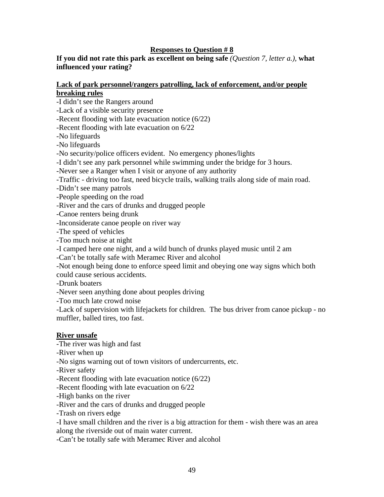# **Responses to Question # 8**

**If you did not rate this park as excellent on being safe** *(Question 7, letter a.),* **what influenced your rating?** 

### **Lack of park personnel/rangers patrolling, lack of enforcement, and/or people breaking rules**

-I didn't see the Rangers around

-Lack of a visible security presence

-Recent flooding with late evacuation notice (6/22)

-Recent flooding with late evacuation on 6/22

-No lifeguards

-No lifeguards

-No security/police officers evident. No emergency phones/lights

-I didn't see any park personnel while swimming under the bridge for 3 hours.

-Never see a Ranger when I visit or anyone of any authority

-Traffic - driving too fast, need bicycle trails, walking trails along side of main road.

-Didn't see many patrols

-People speeding on the road

-River and the cars of drunks and drugged people

-Canoe renters being drunk

-Inconsiderate canoe people on river way

-The speed of vehicles

-Too much noise at night

-I camped here one night, and a wild bunch of drunks played music until 2 am

-Can't be totally safe with Meramec River and alcohol

-Not enough being done to enforce speed limit and obeying one way signs which both could cause serious accidents.

-Drunk boaters

-Never seen anything done about peoples driving

-Too much late crowd noise

-Lack of supervision with lifejackets for children. The bus driver from canoe pickup - no muffler, balled tires, too fast.

### **River unsafe**

-The river was high and fast

-River when up

-No signs warning out of town visitors of undercurrents, etc.

-River safety

-Recent flooding with late evacuation notice (6/22)

-Recent flooding with late evacuation on 6/22

-High banks on the river

-River and the cars of drunks and drugged people

-Trash on rivers edge

-I have small children and the river is a big attraction for them - wish there was an area along the riverside out of main water current.

-Can't be totally safe with Meramec River and alcohol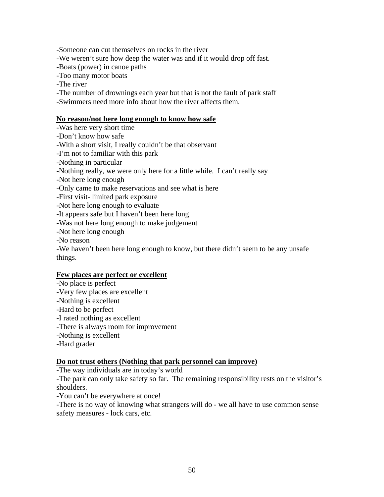-Someone can cut themselves on rocks in the river

-We weren't sure how deep the water was and if it would drop off fast.

-Boats (power) in canoe paths

-Too many motor boats

-The river

-The number of drownings each year but that is not the fault of park staff -Swimmers need more info about how the river affects them.

#### **No reason/not here long enough to know how safe**

-Was here very short time -Don't know how safe -With a short visit, I really couldn't be that observant -I'm not to familiar with this park -Nothing in particular -Nothing really, we were only here for a little while. I can't really say -Not here long enough -Only came to make reservations and see what is here -First visit- limited park exposure -Not here long enough to evaluate -It appears safe but I haven't been here long -Was not here long enough to make judgement -Not here long enough -No reason -We haven't been here long enough to know, but there didn't seem to be any unsafe things.

#### **Few places are perfect or excellent**

-No place is perfect -Very few places are excellent -Nothing is excellent -Hard to be perfect -I rated nothing as excellent -There is always room for improvement

-Nothing is excellent

-Hard grader

#### **Do not trust others (Nothing that park personnel can improve)**

-The way individuals are in today's world

-The park can only take safety so far. The remaining responsibility rests on the visitor's shoulders.

-You can't be everywhere at once!

-There is no way of knowing what strangers will do - we all have to use common sense safety measures - lock cars, etc.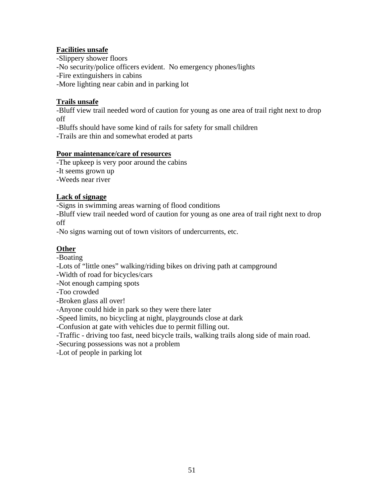# **Facilities unsafe**

-Slippery shower floors -No security/police officers evident. No emergency phones/lights -Fire extinguishers in cabins -More lighting near cabin and in parking lot

# **Trails unsafe**

-Bluff view trail needed word of caution for young as one area of trail right next to drop off

-Bluffs should have some kind of rails for safety for small children

-Trails are thin and somewhat eroded at parts

# **Poor maintenance/care of resources**

-The upkeep is very poor around the cabins -It seems grown up -Weeds near river

# **Lack of signage**

-Signs in swimming areas warning of flood conditions

-Bluff view trail needed word of caution for young as one area of trail right next to drop off

-No signs warning out of town visitors of undercurrents, etc.

# **Other**

-Boating

-Lots of "little ones" walking/riding bikes on driving path at campground

-Width of road for bicycles/cars

-Not enough camping spots

-Too crowded

-Broken glass all over!

-Anyone could hide in park so they were there later

-Speed limits, no bicycling at night, playgrounds close at dark

-Confusion at gate with vehicles due to permit filling out.

-Traffic - driving too fast, need bicycle trails, walking trails along side of main road.

-Securing possessions was not a problem

-Lot of people in parking lot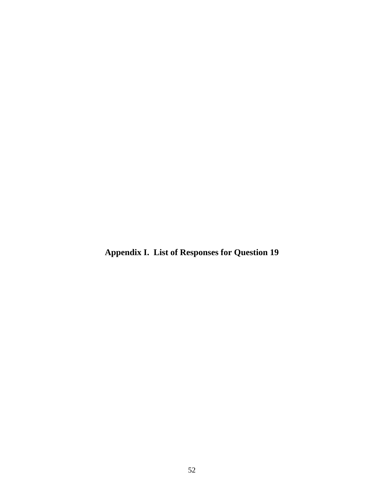**Appendix I. List of Responses for Question 19**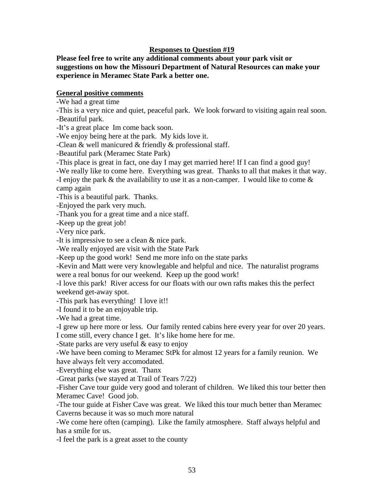# **Responses to Question #19**

**Please feel free to write any additional comments about your park visit or suggestions on how the Missouri Department of Natural Resources can make your experience in Meramec State Park a better one.** 

### **General positive comments**

-We had a great time

-This is a very nice and quiet, peaceful park. We look forward to visiting again real soon. -Beautiful park.

-It's a great place Im come back soon.

-We enjoy being here at the park. My kids love it.

-Clean & well manicured & friendly & professional staff.

-Beautiful park (Meramec State Park)

-This place is great in fact, one day I may get married here! If I can find a good guy!

-We really like to come here. Everything was great. Thanks to all that makes it that way.

-I enjoy the park  $\&$  the availability to use it as a non-camper. I would like to come  $\&$ camp again

-This is a beautiful park. Thanks.

-Enjoyed the park very much.

-Thank you for a great time and a nice staff.

-Keep up the great job!

-Very nice park.

-It is impressive to see a clean & nice park.

-We really enjoyed are visit with the State Park

-Keep up the good work! Send me more info on the state parks

-Kevin and Matt were very knowlegable and helpful and nice. The naturalist programs were a real bonus for our weekend. Keep up the good work!

-I love this park! River access for our floats with our own rafts makes this the perfect weekend get-away spot.

-This park has everything! I love it!!

-I found it to be an enjoyable trip.

-We had a great time.

-I grew up here more or less. Our family rented cabins here every year for over 20 years.

I come still, every chance I get. It's like home here for me.

-State parks are very useful & easy to enjoy

-We have been coming to Meramec StPk for almost 12 years for a family reunion. We have always felt very accomodated.

-Everything else was great. Thanx

-Great parks (we stayed at Trail of Tears 7/22)

-Fisher Cave tour guide very good and tolerant of children. We liked this tour better then Meramec Cave! Good job.

-The tour guide at Fisher Cave was great. We liked this tour much better than Meramec Caverns because it was so much more natural

-We come here often (camping). Like the family atmosphere. Staff always helpful and has a smile for us.

-I feel the park is a great asset to the county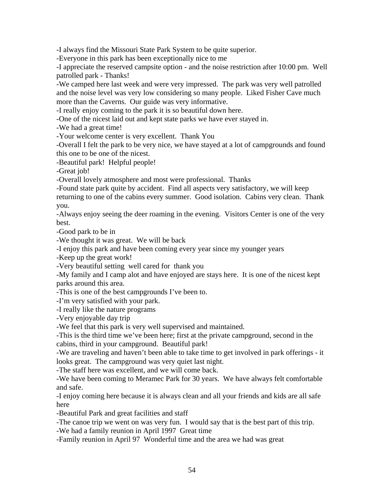-I always find the Missouri State Park System to be quite superior.

-Everyone in this park has been exceptionally nice to me

-I appreciate the reserved campsite option - and the noise restriction after 10:00 pm. Well patrolled park - Thanks!

-We camped here last week and were very impressed. The park was very well patrolled and the noise level was very low considering so many people. Liked Fisher Cave much more than the Caverns. Our guide was very informative.

-I really enjoy coming to the park it is so beautiful down here.

-One of the nicest laid out and kept state parks we have ever stayed in.

-We had a great time!

-Your welcome center is very excellent. Thank You

-Overall I felt the park to be very nice, we have stayed at a lot of campgrounds and found this one to be one of the nicest.

-Beautiful park! Helpful people!

-Great job!

-Overall lovely atmosphere and most were professional. Thanks

-Found state park quite by accident. Find all aspects very satisfactory, we will keep returning to one of the cabins every summer. Good isolation. Cabins very clean. Thank you.

-Always enjoy seeing the deer roaming in the evening. Visitors Center is one of the very best.

-Good park to be in

-We thought it was great. We will be back

-I enjoy this park and have been coming every year since my younger years

-Keep up the great work!

-Very beautiful setting well cared for thank you

-My family and I camp alot and have enjoyed are stays here. It is one of the nicest kept parks around this area.

-This is one of the best campgrounds I've been to.

-I'm very satisfied with your park.

-I really like the nature programs

-Very enjoyable day trip

-We feel that this park is very well supervised and maintained.

-This is the third time we've been here; first at the private campground, second in the cabins, third in your campground. Beautiful park!

-We are traveling and haven't been able to take time to get involved in park offerings - it looks great. The campground was very quiet last night.

-The staff here was excellent, and we will come back.

-We have been coming to Meramec Park for 30 years. We have always felt comfortable and safe.

-I enjoy coming here because it is always clean and all your friends and kids are all safe here

-Beautiful Park and great facilities and staff

-The canoe trip we went on was very fun. I would say that is the best part of this trip.

-We had a family reunion in April 1997 Great time

-Family reunion in April 97 Wonderful time and the area we had was great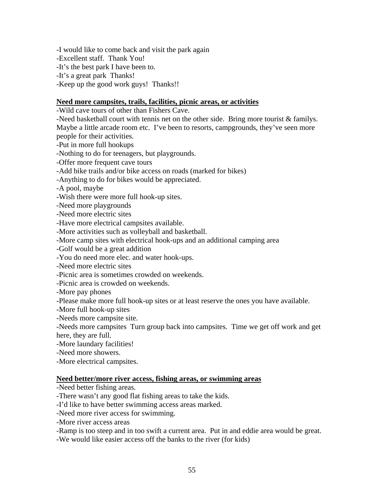-I would like to come back and visit the park again -Excellent staff. Thank You! -It's the best park I have been to. -It's a great park Thanks! -Keep up the good work guys! Thanks!!

### **Need more campsites, trails, facilities, picnic areas, or activities**

-Wild cave tours of other than Fishers Cave.

-Need basketball court with tennis net on the other side. Bring more tourist & familys. Maybe a little arcade room etc. I've been to resorts, campgrounds, they've seen more people for their activities.

-Put in more full hookups

-Nothing to do for teenagers, but playgrounds.

-Offer more frequent cave tours

-Add bike trails and/or bike access on roads (marked for bikes)

-Anything to do for bikes would be appreciated.

-A pool, maybe

-Wish there were more full hook-up sites.

-Need more playgrounds

-Need more electric sites

-Have more electrical campsites available.

-More activities such as volleyball and basketball.

-More camp sites with electrical hook-ups and an additional camping area

-Golf would be a great addition

-You do need more elec. and water hook-ups.

-Need more electric sites

-Picnic area is sometimes crowded on weekends.

-Picnic area is crowded on weekends.

-More pay phones

-Please make more full hook-up sites or at least reserve the ones you have available.

-More full hook-up sites

-Needs more campsite site.

-Needs more campsites Turn group back into campsites. Time we get off work and get here, they are full.

-More laundary facilities!

-Need more showers.

-More electrical campsites.

#### **Need better/more river access, fishing areas, or swimming areas**

-Need better fishing areas.

-There wasn't any good flat fishing areas to take the kids.

-I'd like to have better swimming access areas marked.

-Need more river access for swimming.

-More river access areas

-Ramp is too steep and in too swift a current area. Put in and eddie area would be great.

-We would like easier access off the banks to the river (for kids)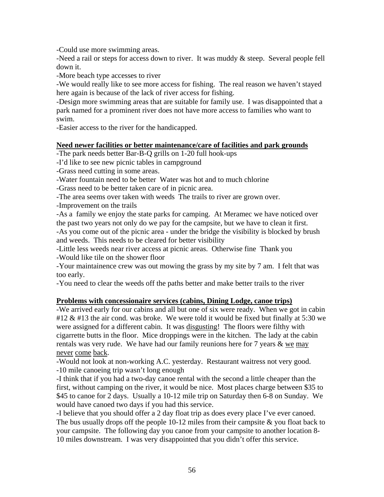-Could use more swimming areas.

-Need a rail or steps for access down to river. It was muddy & steep. Several people fell down it.

-More beach type accesses to river

-We would really like to see more access for fishing. The real reason we haven't stayed here again is because of the lack of river access for fishing.

-Design more swimming areas that are suitable for family use. I was disappointed that a park named for a prominent river does not have more access to families who want to swim.

-Easier access to the river for the handicapped.

### **Need newer facilities or better maintenance/care of facilities and park grounds**

-The park needs better Bar-B-Q grills on 1-20 full hook-ups

-I'd like to see new picnic tables in campground

-Grass need cutting in some areas.

-Water fountain need to be better Water was hot and to much chlorine

-Grass need to be better taken care of in picnic area.

-The area seems over taken with weeds The trails to river are grown over.

-Improvement on the trails

-As a family we enjoy the state parks for camping. At Meramec we have noticed over the past two years not only do we pay for the campsite, but we have to clean it first.

-As you come out of the picnic area - under the bridge the visibility is blocked by brush and weeds. This needs to be cleared for better visibility

-Little less weeds near river access at picnic areas. Otherwise fine Thank you -Would like tile on the shower floor

-Your maintainence crew was out mowing the grass by my site by 7 am. I felt that was too early.

-You need to clear the weeds off the paths better and make better trails to the river

# **Problems with concessionaire services (cabins, Dining Lodge, canoe trips)**

-We arrived early for our cabins and all but one of six were ready. When we got in cabin #12  $\&$  #13 the air cond. was broke. We were told it would be fixed but finally at 5:30 we were assigned for a different cabin. It was disgusting! The floors were filthy with cigarrette butts in the floor. Mice droppings were in the kitchen. The lady at the cabin rentals was very rude. We have had our family reunions here for 7 years & we may never come back.

-Would not look at non-working A.C. yesterday. Restaurant waitress not very good. -10 mile canoeing trip wasn't long enough

-I think that if you had a two-day canoe rental with the second a little cheaper than the first, without camping on the river, it would be nice. Most places charge between \$35 to \$45 to canoe for 2 days. Usually a 10-12 mile trip on Saturday then 6-8 on Sunday. We would have canoed two days if you had this service.

-I believe that you should offer a 2 day float trip as does every place I've ever canoed. The bus usually drops off the people  $10-12$  miles from their campsite  $\&$  you float back to your campsite. The following day you canoe from your campsite to another location 8- 10 miles downstream. I was very disappointed that you didn't offer this service.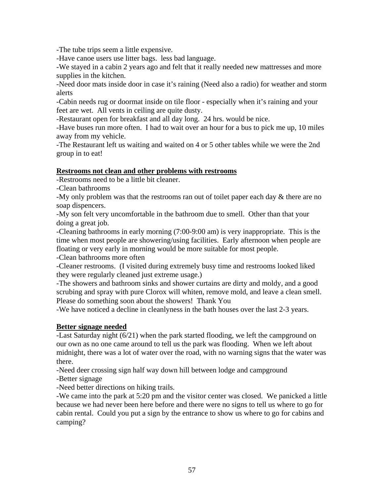-The tube trips seem a little expensive.

-Have canoe users use litter bags. less bad language.

-We stayed in a cabin 2 years ago and felt that it really needed new mattresses and more supplies in the kitchen.

-Need door mats inside door in case it's raining (Need also a radio) for weather and storm alerts

-Cabin needs rug or doormat inside on tile floor - especially when it's raining and your feet are wet. All vents in ceiling are quite dusty.

-Restaurant open for breakfast and all day long. 24 hrs. would be nice.

-Have buses run more often. I had to wait over an hour for a bus to pick me up, 10 miles away from my vehicle.

-The Restaurant left us waiting and waited on 4 or 5 other tables while we were the 2nd group in to eat!

### **Restrooms not clean and other problems with restrooms**

-Restrooms need to be a little bit cleaner.

-Clean bathrooms

-My only problem was that the restrooms ran out of toilet paper each day & there are no soap dispencers.

-My son felt very uncomfortable in the bathroom due to smell. Other than that your doing a great job.

-Cleaning bathrooms in early morning (7:00-9:00 am) is very inappropriate. This is the time when most people are showering/using facilities. Early afternoon when people are floating or very early in morning would be more suitable for most people.

-Clean bathrooms more often

-Cleaner restrooms. (I visited during extremely busy time and restrooms looked liked they were regularly cleaned just extreme usage.)

-The showers and bathroom sinks and shower curtains are dirty and moldy, and a good scrubing and spray with pure Clorox will whiten, remove mold, and leave a clean smell. Please do something soon about the showers! Thank You

-We have noticed a decline in cleanlyness in the bath houses over the last 2-3 years.

# **Better signage needed**

-Last Saturday night (6/21) when the park started flooding, we left the campground on our own as no one came around to tell us the park was flooding. When we left about midnight, there was a lot of water over the road, with no warning signs that the water was there.

-Need deer crossing sign half way down hill between lodge and campground

-Better signage

-Need better directions on hiking trails.

-We came into the park at 5:20 pm and the visitor center was closed. We panicked a little because we had never been here before and there were no signs to tell us where to go for cabin rental. Could you put a sign by the entrance to show us where to go for cabins and camping?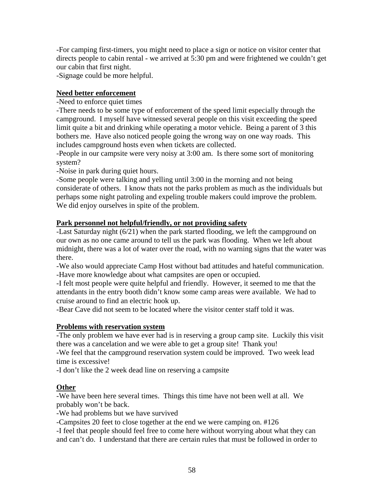-For camping first-timers, you might need to place a sign or notice on visitor center that directs people to cabin rental - we arrived at 5:30 pm and were frightened we couldn't get our cabin that first night.

-Signage could be more helpful.

# **Need better enforcement**

-Need to enforce quiet times

-There needs to be some type of enforcement of the speed limit especially through the campground. I myself have witnessed several people on this visit exceeding the speed limit quite a bit and drinking while operating a motor vehicle. Being a parent of 3 this bothers me. Have also noticed people going the wrong way on one way roads. This includes campground hosts even when tickets are collected.

-People in our campsite were very noisy at 3:00 am. Is there some sort of monitoring system?

-Noise in park during quiet hours.

-Some people were talking and yelling until 3:00 in the morning and not being considerate of others. I know thats not the parks problem as much as the individuals but perhaps some night patroling and expeling trouble makers could improve the problem. We did enjoy ourselves in spite of the problem.

# **Park personnel not helpful/friendly, or not providing safety**

-Last Saturday night (6/21) when the park started flooding, we left the campground on our own as no one came around to tell us the park was flooding. When we left about midnight, there was a lot of water over the road, with no warning signs that the water was there.

-We also would appreciate Camp Host without bad attitudes and hateful communication. -Have more knowledge about what campsites are open or occupied.

-I felt most people were quite helpful and friendly. However, it seemed to me that the attendants in the entry booth didn't know some camp areas were available. We had to cruise around to find an electric hook up.

-Bear Cave did not seem to be located where the visitor center staff told it was.

# **Problems with reservation system**

-The only problem we have ever had is in reserving a group camp site. Luckily this visit there was a cancelation and we were able to get a group site! Thank you!

-We feel that the campground reservation system could be improved. Two week lead time is excessive!

-I don't like the 2 week dead line on reserving a campsite

# **Other**

-We have been here several times. Things this time have not been well at all. We probably won't be back.

-We had problems but we have survived

-Campsites 20 feet to close together at the end we were camping on. #126

-I feel that people should feel free to come here without worrying about what they can and can't do. I understand that there are certain rules that must be followed in order to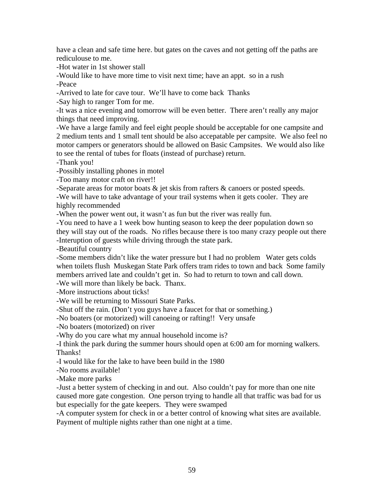have a clean and safe time here. but gates on the caves and not getting off the paths are rediculouse to me.

-Hot water in 1st shower stall

-Would like to have more time to visit next time; have an appt. so in a rush -Peace

-Arrived to late for cave tour. We'll have to come back Thanks

-Say high to ranger Tom for me.

-It was a nice evening and tomorrow will be even better. There aren't really any major things that need improving.

-We have a large family and feel eight people should be acceptable for one campsite and 2 medium tents and 1 small tent should be also accepatable per campsite. We also feel no motor campers or generators should be allowed on Basic Campsites. We would also like to see the rental of tubes for floats (instead of purchase) return.

-Thank you!

-Possibly installing phones in motel

-Too many motor craft on river!!

-Separate areas for motor boats & jet skis from rafters & canoers or posted speeds.

-We will have to take advantage of your trail systems when it gets cooler. They are highly recommended

-When the power went out, it wasn't as fun but the river was really fun.

-You need to have a 1 week bow hunting season to keep the deer population down so they will stay out of the roads. No rifles because there is too many crazy people out there -Interuption of guests while driving through the state park.

-Beautiful country

-Some members didn't like the water pressure but I had no problem Water gets colds when toilets flush Muskegan State Park offers tram rides to town and back Some family members arrived late and couldn't get in. So had to return to town and call down.

-We will more than likely be back. Thanx.

-More instructions about ticks!

-We will be returning to Missouri State Parks.

-Shut off the rain. (Don't you guys have a faucet for that or something.)

-No boaters (or motorized) will canoeing or rafting!! Very unsafe

-No boaters (motorized) on river

-Why do you care what my annual household income is?

-I think the park during the summer hours should open at 6:00 am for morning walkers. Thanks!

-I would like for the lake to have been build in the 1980

-No rooms available!

-Make more parks

-Just a better system of checking in and out. Also couldn't pay for more than one nite caused more gate congestion. One person trying to handle all that traffic was bad for us but especially for the gate keepers. They were swamped

-A computer system for check in or a better control of knowing what sites are available. Payment of multiple nights rather than one night at a time.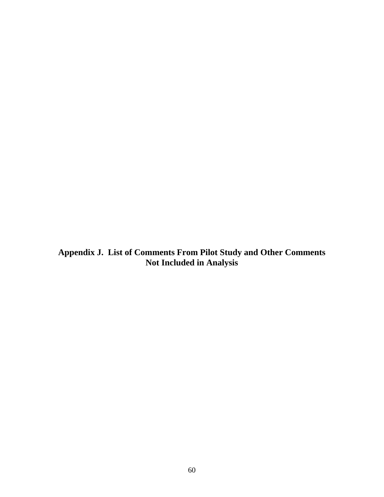**Appendix J. List of Comments From Pilot Study and Other Comments Not Included in Analysis**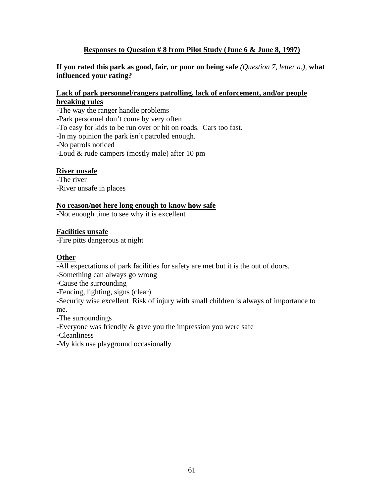# **Responses to Question # 8 from Pilot Study (June 6 & June 8, 1997)**

**If you rated this park as good, fair, or poor on being safe** *(Question 7, letter a.),* **what influenced your rating?** 

# **Lack of park personnel/rangers patrolling, lack of enforcement, and/or people breaking rules**

-The way the ranger handle problems -Park personnel don't come by very often -To easy for kids to be run over or hit on roads. Cars too fast. -In my opinion the park isn't patroled enough. -No patrols noticed -Loud & rude campers (mostly male) after 10 pm

# **River unsafe**

-The river -River unsafe in places

### **No reason/not here long enough to know how safe**

-Not enough time to see why it is excellent

# **Facilities unsafe**

-Fire pitts dangerous at night

# **Other**

-All expectations of park facilities for safety are met but it is the out of doors.

-Something can always go wrong

-Cause the surrounding

-Fencing, lighting, signs (clear)

-Security wise excellent Risk of injury with small children is always of importance to me.

-The surroundings

-Everyone was friendly & gave you the impression you were safe

-Cleanliness

-My kids use playground occasionally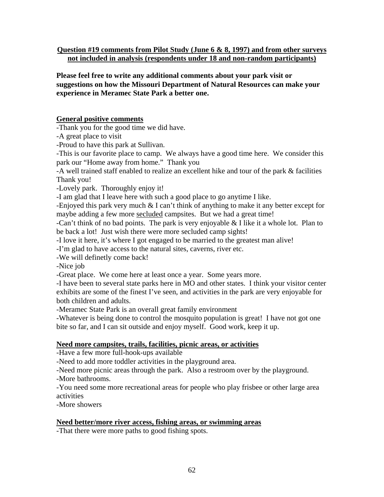### **Question #19 comments from Pilot Study (June 6 & 8, 1997) and from other surveys not included in analysis (respondents under 18 and non-random participants)**

**Please feel free to write any additional comments about your park visit or suggestions on how the Missouri Department of Natural Resources can make your experience in Meramec State Park a better one.** 

### **General positive comments**

-Thank you for the good time we did have.

-A great place to visit

-Proud to have this park at Sullivan.

-This is our favorite place to camp. We always have a good time here. We consider this park our "Home away from home." Thank you

-A well trained staff enabled to realize an excellent hike and tour of the park & facilities Thank you!

-Lovely park. Thoroughly enjoy it!

-I am glad that I leave here with such a good place to go anytime I like.

-Enjoyed this park very much & I can't think of anything to make it any better except for maybe adding a few more secluded campsites. But we had a great time!

-Can't think of no bad points. The park is very enjoyable & I like it a whole lot. Plan to be back a lot! Just wish there were more secluded camp sights!

-I love it here, it's where I got engaged to be married to the greatest man alive!

-I'm glad to have access to the natural sites, caverns, river etc.

-We will definetly come back!

-Nice job

-Great place. We come here at least once a year. Some years more.

-I have been to several state parks here in MO and other states. I think your visitor center exhibits are some of the finest I've seen, and activities in the park are very enjoyable for both children and adults.

-Meramec State Park is an overall great family environment

-Whatever is being done to control the mosquito population is great! I have not got one bite so far, and I can sit outside and enjoy myself. Good work, keep it up.

# **Need more campsites, trails, facilities, picnic areas, or activities**

-Have a few more full-hook-ups available

-Need to add more toddler activities in the playground area.

-Need more picnic areas through the park. Also a restroom over by the playground.

-More bathrooms.

-You need some more recreational areas for people who play frisbee or other large area activities

-More showers

#### **Need better/more river access, fishing areas, or swimming areas**

-That there were more paths to good fishing spots.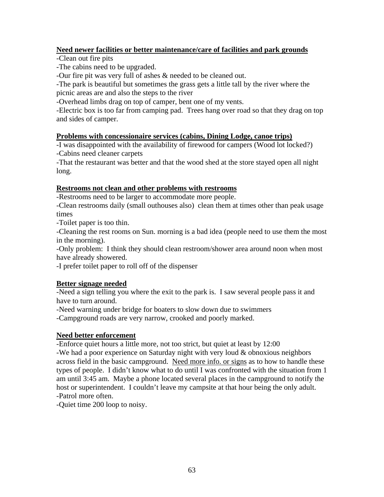# **Need newer facilities or better maintenance/care of facilities and park grounds**

-Clean out fire pits

-The cabins need to be upgraded.

-Our fire pit was very full of ashes & needed to be cleaned out.

-The park is beautiful but sometimes the grass gets a little tall by the river where the picnic areas are and also the steps to the river

-Overhead limbs drag on top of camper, bent one of my vents.

-Electric box is too far from camping pad. Trees hang over road so that they drag on top and sides of camper.

### **Problems with concessionaire services (cabins, Dining Lodge, canoe trips)**

-I was disappointed with the availability of firewood for campers (Wood lot locked?) -Cabins need cleaner carpets

-That the restaurant was better and that the wood shed at the store stayed open all night long.

### **Restrooms not clean and other problems with restrooms**

-Restrooms need to be larger to accommodate more people.

-Clean restrooms daily (small outhouses also) clean them at times other than peak usage times

-Toilet paper is too thin.

-Cleaning the rest rooms on Sun. morning is a bad idea (people need to use them the most in the morning).

-Only problem: I think they should clean restroom/shower area around noon when most have already showered.

-I prefer toilet paper to roll off of the dispenser

# **Better signage needed**

-Need a sign telling you where the exit to the park is. I saw several people pass it and have to turn around.

-Need warning under bridge for boaters to slow down due to swimmers -Campground roads are very narrow, crooked and poorly marked.

# **Need better enforcement**

-Enforce quiet hours a little more, not too strict, but quiet at least by 12:00

-We had a poor experience on Saturday night with very loud & obnoxious neighbors across field in the basic campground. Need more info. or signs as to how to handle these types of people. I didn't know what to do until I was confronted with the situation from 1 am until 3:45 am. Maybe a phone located several places in the campground to notify the host or superintendent. I couldn't leave my campsite at that hour being the only adult. -Patrol more often.

-Quiet time 200 loop to noisy.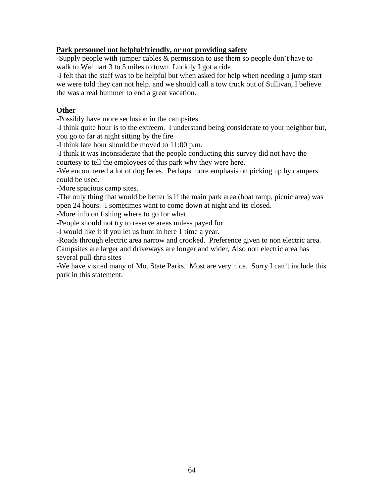# **Park personnel not helpful/friendly, or not providing safety**

-Supply people with jumper cables & permission to use them so people don't have to walk to Walmart 3 to 5 miles to town Luckily I got a ride

-I felt that the staff was to be helpful but when asked for help when needing a jump start we were told they can not help. and we should call a tow truck out of Sullivan, I believe the was a real bummer to end a great vacation.

### **Other**

-Possibly have more seclusion in the campsites.

-I think quite hour is to the extreem. I understand being considerate to your neighbor but, you go to far at night sitting by the fire

-I think late hour should be moved to 11:00 p.m.

-I think it was inconsiderate that the people conducting this survey did not have the courtesy to tell the employees of this park why they were here.

-We encountered a lot of dog feces. Perhaps more emphasis on picking up by campers could be used.

-More spacious camp sites.

-The only thing that would be better is if the main park area (boat ramp, picnic area) was open 24 hours. I sometimes want to come down at night and its closed.

-More info on fishing where to go for what

-People should not try to reserve areas unless payed for

-I would like it if you let us hunt in here 1 time a year.

-Roads through electric area narrow and crooked. Preference given to non electric area. Campsites are larger and driveways are longer and wider, Also non electric area has several pull-thru sites

-We have visited many of Mo. State Parks. Most are very nice. Sorry I can't include this park in this statement.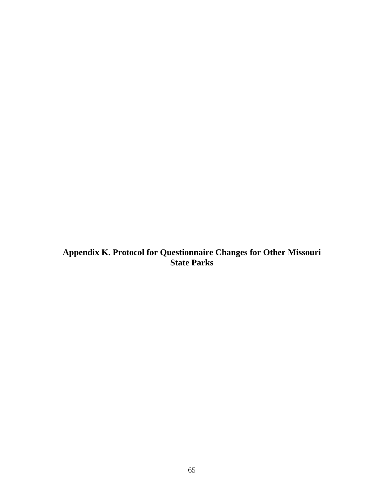**Appendix K. Protocol for Questionnaire Changes for Other Missouri State Parks**